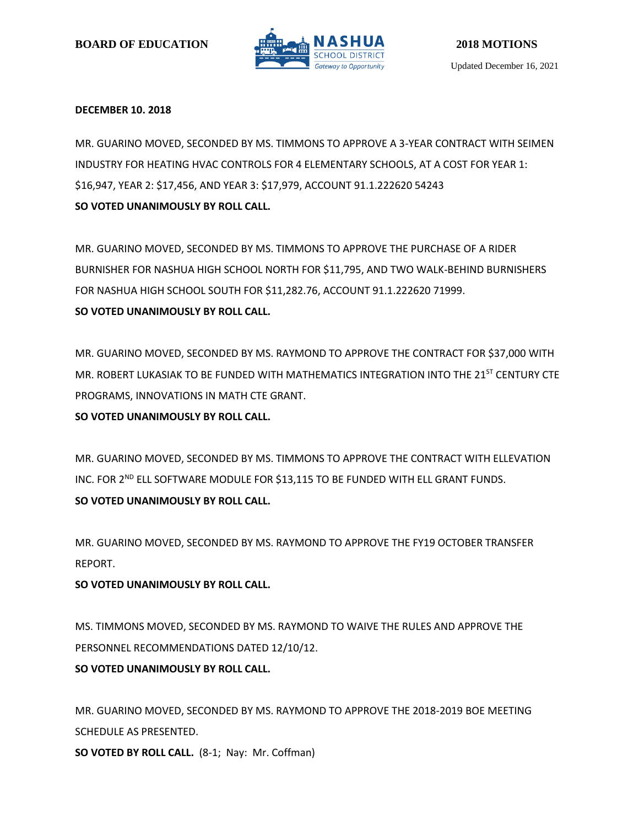

## **DECEMBER 10. 2018**

MR. GUARINO MOVED, SECONDED BY MS. TIMMONS TO APPROVE A 3-YEAR CONTRACT WITH SEIMEN INDUSTRY FOR HEATING HVAC CONTROLS FOR 4 ELEMENTARY SCHOOLS, AT A COST FOR YEAR 1: \$16,947, YEAR 2: \$17,456, AND YEAR 3: \$17,979, ACCOUNT 91.1.222620 54243 **SO VOTED UNANIMOUSLY BY ROLL CALL.**

MR. GUARINO MOVED, SECONDED BY MS. TIMMONS TO APPROVE THE PURCHASE OF A RIDER BURNISHER FOR NASHUA HIGH SCHOOL NORTH FOR \$11,795, AND TWO WALK-BEHIND BURNISHERS FOR NASHUA HIGH SCHOOL SOUTH FOR \$11,282.76, ACCOUNT 91.1.222620 71999. **SO VOTED UNANIMOUSLY BY ROLL CALL.**

MR. GUARINO MOVED, SECONDED BY MS. RAYMOND TO APPROVE THE CONTRACT FOR \$37,000 WITH MR. ROBERT LUKASIAK TO BE FUNDED WITH MATHEMATICS INTEGRATION INTO THE 21<sup>ST</sup> CENTURY CTE PROGRAMS, INNOVATIONS IN MATH CTE GRANT.

**SO VOTED UNANIMOUSLY BY ROLL CALL.**

MR. GUARINO MOVED, SECONDED BY MS. TIMMONS TO APPROVE THE CONTRACT WITH ELLEVATION INC. FOR 2<sup>ND</sup> ELL SOFTWARE MODULE FOR \$13,115 TO BE FUNDED WITH ELL GRANT FUNDS. **SO VOTED UNANIMOUSLY BY ROLL CALL.**

MR. GUARINO MOVED, SECONDED BY MS. RAYMOND TO APPROVE THE FY19 OCTOBER TRANSFER REPORT.

# **SO VOTED UNANIMOUSLY BY ROLL CALL.**

MS. TIMMONS MOVED, SECONDED BY MS. RAYMOND TO WAIVE THE RULES AND APPROVE THE PERSONNEL RECOMMENDATIONS DATED 12/10/12. **SO VOTED UNANIMOUSLY BY ROLL CALL.**

MR. GUARINO MOVED, SECONDED BY MS. RAYMOND TO APPROVE THE 2018-2019 BOE MEETING SCHEDULE AS PRESENTED.

**SO VOTED BY ROLL CALL.** (8-1; Nay: Mr. Coffman)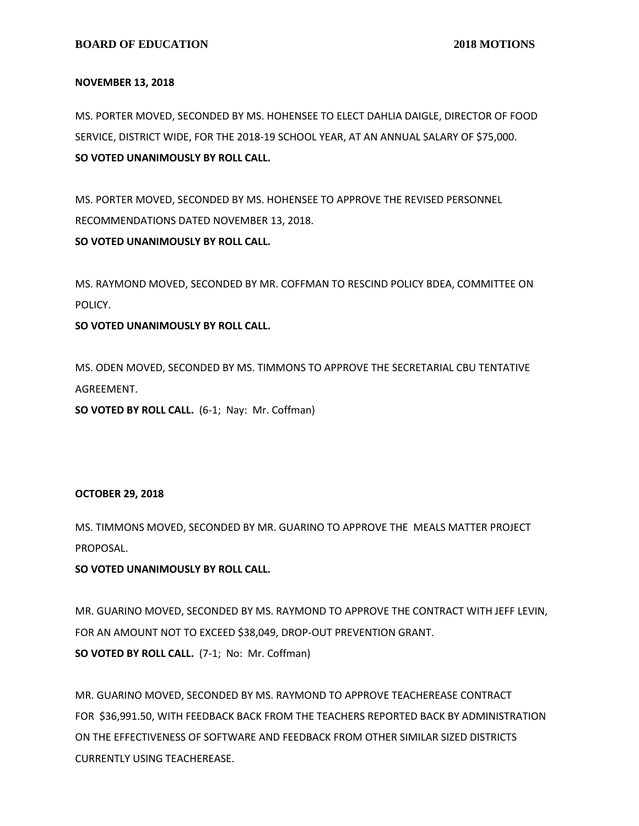#### **NOVEMBER 13, 2018**

MS. PORTER MOVED, SECONDED BY MS. HOHENSEE TO ELECT DAHLIA DAIGLE, DIRECTOR OF FOOD SERVICE, DISTRICT WIDE, FOR THE 2018-19 SCHOOL YEAR, AT AN ANNUAL SALARY OF \$75,000. **SO VOTED UNANIMOUSLY BY ROLL CALL.**

MS. PORTER MOVED, SECONDED BY MS. HOHENSEE TO APPROVE THE REVISED PERSONNEL RECOMMENDATIONS DATED NOVEMBER 13, 2018. **SO VOTED UNANIMOUSLY BY ROLL CALL.**

MS. RAYMOND MOVED, SECONDED BY MR. COFFMAN TO RESCIND POLICY BDEA, COMMITTEE ON POLICY.

## **SO VOTED UNANIMOUSLY BY ROLL CALL.**

MS. ODEN MOVED, SECONDED BY MS. TIMMONS TO APPROVE THE SECRETARIAL CBU TENTATIVE AGREEMENT.

**SO VOTED BY ROLL CALL.** (6-1; Nay: Mr. Coffman)

#### **OCTOBER 29, 2018**

MS. TIMMONS MOVED, SECONDED BY MR. GUARINO TO APPROVE THE MEALS MATTER PROJECT PROPOSAL.

## **SO VOTED UNANIMOUSLY BY ROLL CALL.**

MR. GUARINO MOVED, SECONDED BY MS. RAYMOND TO APPROVE THE CONTRACT WITH JEFF LEVIN, FOR AN AMOUNT NOT TO EXCEED \$38,049, DROP-OUT PREVENTION GRANT. **SO VOTED BY ROLL CALL.** (7-1; No: Mr. Coffman)

MR. GUARINO MOVED, SECONDED BY MS. RAYMOND TO APPROVE TEACHEREASE CONTRACT FOR \$36,991.50, WITH FEEDBACK BACK FROM THE TEACHERS REPORTED BACK BY ADMINISTRATION ON THE EFFECTIVENESS OF SOFTWARE AND FEEDBACK FROM OTHER SIMILAR SIZED DISTRICTS CURRENTLY USING TEACHEREASE.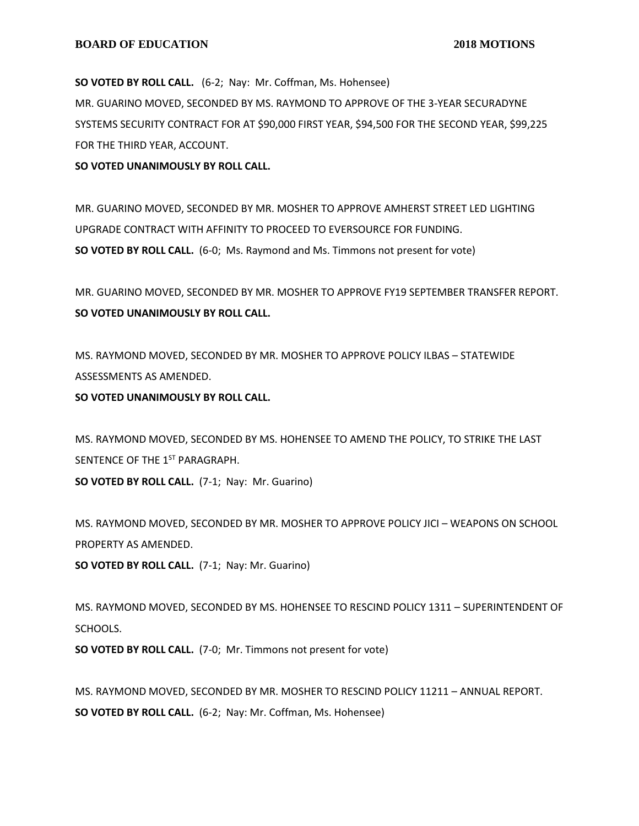**SO VOTED BY ROLL CALL.** (6-2; Nay: Mr. Coffman, Ms. Hohensee) MR. GUARINO MOVED, SECONDED BY MS. RAYMOND TO APPROVE OF THE 3-YEAR SECURADYNE SYSTEMS SECURITY CONTRACT FOR AT \$90,000 FIRST YEAR, \$94,500 FOR THE SECOND YEAR, \$99,225 FOR THE THIRD YEAR, ACCOUNT.

**SO VOTED UNANIMOUSLY BY ROLL CALL.**

MR. GUARINO MOVED, SECONDED BY MR. MOSHER TO APPROVE AMHERST STREET LED LIGHTING UPGRADE CONTRACT WITH AFFINITY TO PROCEED TO EVERSOURCE FOR FUNDING. **SO VOTED BY ROLL CALL.** (6-0; Ms. Raymond and Ms. Timmons not present for vote)

MR. GUARINO MOVED, SECONDED BY MR. MOSHER TO APPROVE FY19 SEPTEMBER TRANSFER REPORT. **SO VOTED UNANIMOUSLY BY ROLL CALL.**

MS. RAYMOND MOVED, SECONDED BY MR. MOSHER TO APPROVE POLICY ILBAS – STATEWIDE ASSESSMENTS AS AMENDED.

**SO VOTED UNANIMOUSLY BY ROLL CALL.**

MS. RAYMOND MOVED, SECONDED BY MS. HOHENSEE TO AMEND THE POLICY, TO STRIKE THE LAST SENTENCE OF THE 1<sup>ST</sup> PARAGRAPH. **SO VOTED BY ROLL CALL.** (7-1; Nay: Mr. Guarino)

MS. RAYMOND MOVED, SECONDED BY MR. MOSHER TO APPROVE POLICY JICI – WEAPONS ON SCHOOL PROPERTY AS AMENDED.

**SO VOTED BY ROLL CALL.** (7-1; Nay: Mr. Guarino)

MS. RAYMOND MOVED, SECONDED BY MS. HOHENSEE TO RESCIND POLICY 1311 – SUPERINTENDENT OF SCHOOLS.

**SO VOTED BY ROLL CALL.** (7-0; Mr. Timmons not present for vote)

MS. RAYMOND MOVED, SECONDED BY MR. MOSHER TO RESCIND POLICY 11211 – ANNUAL REPORT. **SO VOTED BY ROLL CALL.** (6-2; Nay: Mr. Coffman, Ms. Hohensee)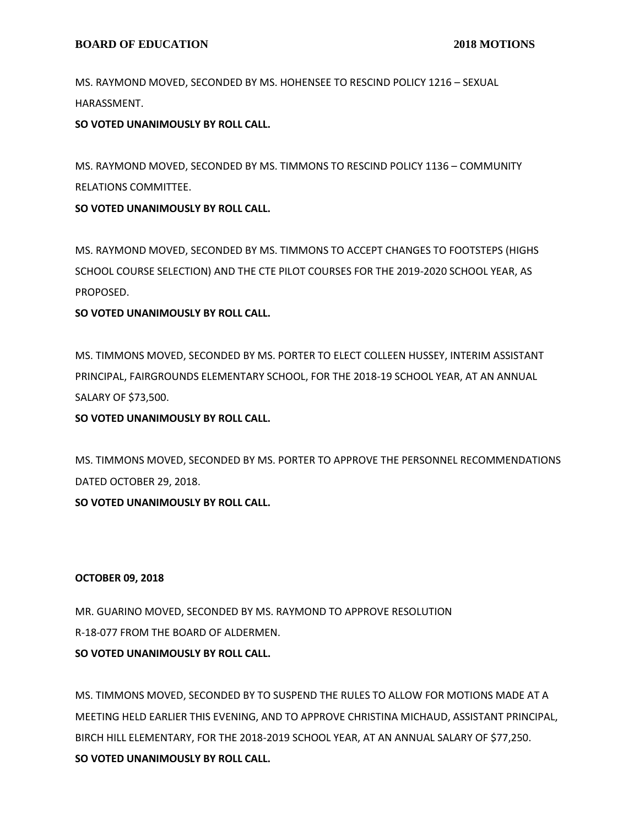MS. RAYMOND MOVED, SECONDED BY MS. HOHENSEE TO RESCIND POLICY 1216 – SEXUAL HARASSMENT.

**SO VOTED UNANIMOUSLY BY ROLL CALL.**

MS. RAYMOND MOVED, SECONDED BY MS. TIMMONS TO RESCIND POLICY 1136 – COMMUNITY RELATIONS COMMITTEE.

**SO VOTED UNANIMOUSLY BY ROLL CALL.**

MS. RAYMOND MOVED, SECONDED BY MS. TIMMONS TO ACCEPT CHANGES TO FOOTSTEPS (HIGHS SCHOOL COURSE SELECTION) AND THE CTE PILOT COURSES FOR THE 2019-2020 SCHOOL YEAR, AS PROPOSED.

## **SO VOTED UNANIMOUSLY BY ROLL CALL.**

MS. TIMMONS MOVED, SECONDED BY MS. PORTER TO ELECT COLLEEN HUSSEY, INTERIM ASSISTANT PRINCIPAL, FAIRGROUNDS ELEMENTARY SCHOOL, FOR THE 2018-19 SCHOOL YEAR, AT AN ANNUAL SALARY OF \$73,500.

# **SO VOTED UNANIMOUSLY BY ROLL CALL.**

MS. TIMMONS MOVED, SECONDED BY MS. PORTER TO APPROVE THE PERSONNEL RECOMMENDATIONS DATED OCTOBER 29, 2018.

**SO VOTED UNANIMOUSLY BY ROLL CALL.**

## **OCTOBER 09, 2018**

MR. GUARINO MOVED, SECONDED BY MS. RAYMOND TO APPROVE RESOLUTION R-18-077 FROM THE BOARD OF ALDERMEN.

**SO VOTED UNANIMOUSLY BY ROLL CALL.**

MS. TIMMONS MOVED, SECONDED BY TO SUSPEND THE RULES TO ALLOW FOR MOTIONS MADE AT A MEETING HELD EARLIER THIS EVENING, AND TO APPROVE CHRISTINA MICHAUD, ASSISTANT PRINCIPAL, BIRCH HILL ELEMENTARY, FOR THE 2018-2019 SCHOOL YEAR, AT AN ANNUAL SALARY OF \$77,250. **SO VOTED UNANIMOUSLY BY ROLL CALL.**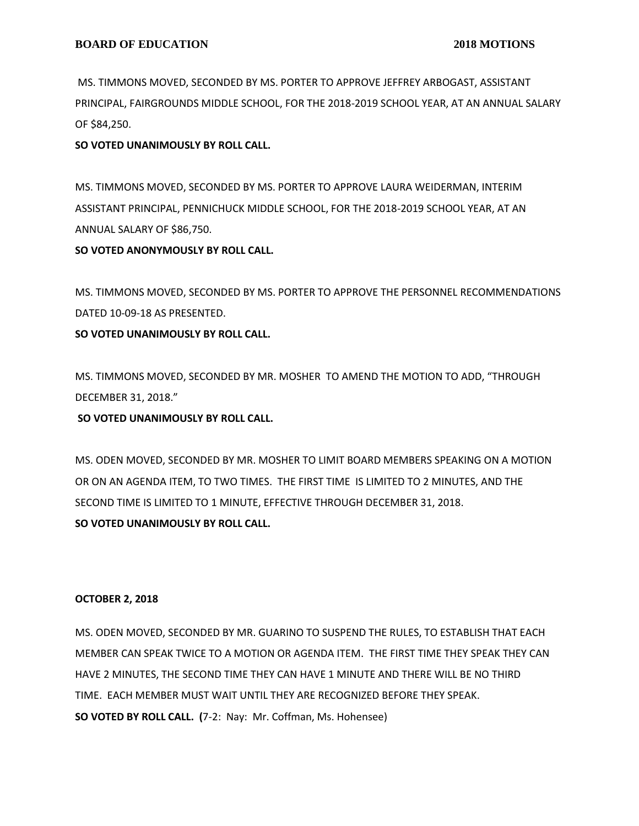MS. TIMMONS MOVED, SECONDED BY MS. PORTER TO APPROVE JEFFREY ARBOGAST, ASSISTANT PRINCIPAL, FAIRGROUNDS MIDDLE SCHOOL, FOR THE 2018-2019 SCHOOL YEAR, AT AN ANNUAL SALARY OF \$84,250.

## **SO VOTED UNANIMOUSLY BY ROLL CALL.**

MS. TIMMONS MOVED, SECONDED BY MS. PORTER TO APPROVE LAURA WEIDERMAN, INTERIM ASSISTANT PRINCIPAL, PENNICHUCK MIDDLE SCHOOL, FOR THE 2018-2019 SCHOOL YEAR, AT AN ANNUAL SALARY OF \$86,750.

#### **SO VOTED ANONYMOUSLY BY ROLL CALL.**

MS. TIMMONS MOVED, SECONDED BY MS. PORTER TO APPROVE THE PERSONNEL RECOMMENDATIONS DATED 10-09-18 AS PRESENTED.

#### **SO VOTED UNANIMOUSLY BY ROLL CALL.**

MS. TIMMONS MOVED, SECONDED BY MR. MOSHER TO AMEND THE MOTION TO ADD, "THROUGH DECEMBER 31, 2018."

## **SO VOTED UNANIMOUSLY BY ROLL CALL.**

MS. ODEN MOVED, SECONDED BY MR. MOSHER TO LIMIT BOARD MEMBERS SPEAKING ON A MOTION OR ON AN AGENDA ITEM, TO TWO TIMES. THE FIRST TIME IS LIMITED TO 2 MINUTES, AND THE SECOND TIME IS LIMITED TO 1 MINUTE, EFFECTIVE THROUGH DECEMBER 31, 2018. **SO VOTED UNANIMOUSLY BY ROLL CALL.**

#### **OCTOBER 2, 2018**

MS. ODEN MOVED, SECONDED BY MR. GUARINO TO SUSPEND THE RULES, TO ESTABLISH THAT EACH MEMBER CAN SPEAK TWICE TO A MOTION OR AGENDA ITEM. THE FIRST TIME THEY SPEAK THEY CAN HAVE 2 MINUTES, THE SECOND TIME THEY CAN HAVE 1 MINUTE AND THERE WILL BE NO THIRD TIME. EACH MEMBER MUST WAIT UNTIL THEY ARE RECOGNIZED BEFORE THEY SPEAK. **SO VOTED BY ROLL CALL. (**7-2: Nay: Mr. Coffman, Ms. Hohensee)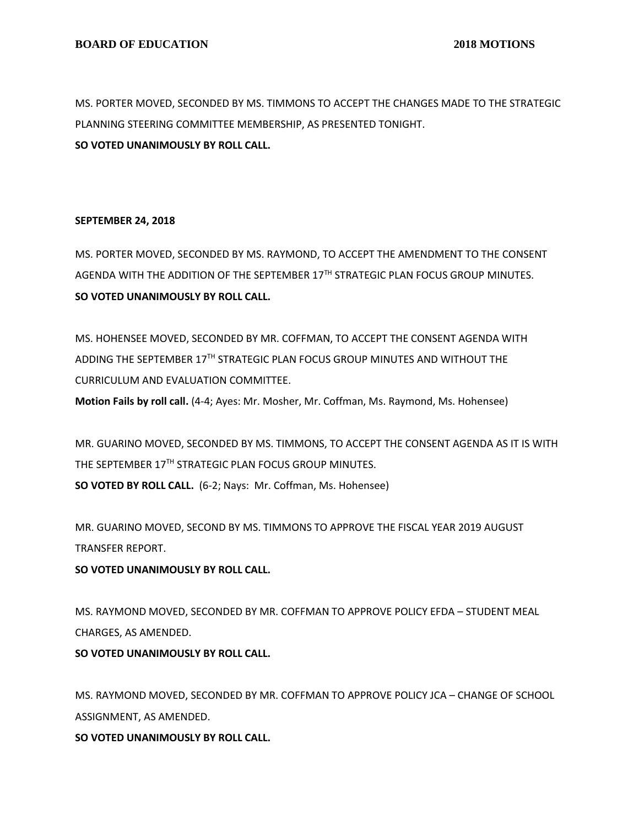MS. PORTER MOVED, SECONDED BY MS. TIMMONS TO ACCEPT THE CHANGES MADE TO THE STRATEGIC PLANNING STEERING COMMITTEE MEMBERSHIP, AS PRESENTED TONIGHT. **SO VOTED UNANIMOUSLY BY ROLL CALL.**

#### **SEPTEMBER 24, 2018**

MS. PORTER MOVED, SECONDED BY MS. RAYMOND, TO ACCEPT THE AMENDMENT TO THE CONSENT AGENDA WITH THE ADDITION OF THE SEPTEMBER 17TH STRATEGIC PLAN FOCUS GROUP MINUTES. **SO VOTED UNANIMOUSLY BY ROLL CALL.**

MS. HOHENSEE MOVED, SECONDED BY MR. COFFMAN, TO ACCEPT THE CONSENT AGENDA WITH ADDING THE SEPTEMBER 17TH STRATEGIC PLAN FOCUS GROUP MINUTES AND WITHOUT THE CURRICULUM AND EVALUATION COMMITTEE.

**Motion Fails by roll call.** (4-4; Ayes: Mr. Mosher, Mr. Coffman, Ms. Raymond, Ms. Hohensee)

MR. GUARINO MOVED, SECONDED BY MS. TIMMONS, TO ACCEPT THE CONSENT AGENDA AS IT IS WITH THE SEPTEMBER 17TH STRATEGIC PLAN FOCUS GROUP MINUTES. **SO VOTED BY ROLL CALL.** (6-2; Nays: Mr. Coffman, Ms. Hohensee)

MR. GUARINO MOVED, SECOND BY MS. TIMMONS TO APPROVE THE FISCAL YEAR 2019 AUGUST TRANSFER REPORT.

## **SO VOTED UNANIMOUSLY BY ROLL CALL.**

MS. RAYMOND MOVED, SECONDED BY MR. COFFMAN TO APPROVE POLICY EFDA – STUDENT MEAL CHARGES, AS AMENDED.

# **SO VOTED UNANIMOUSLY BY ROLL CALL.**

MS. RAYMOND MOVED, SECONDED BY MR. COFFMAN TO APPROVE POLICY JCA – CHANGE OF SCHOOL ASSIGNMENT, AS AMENDED.

**SO VOTED UNANIMOUSLY BY ROLL CALL.**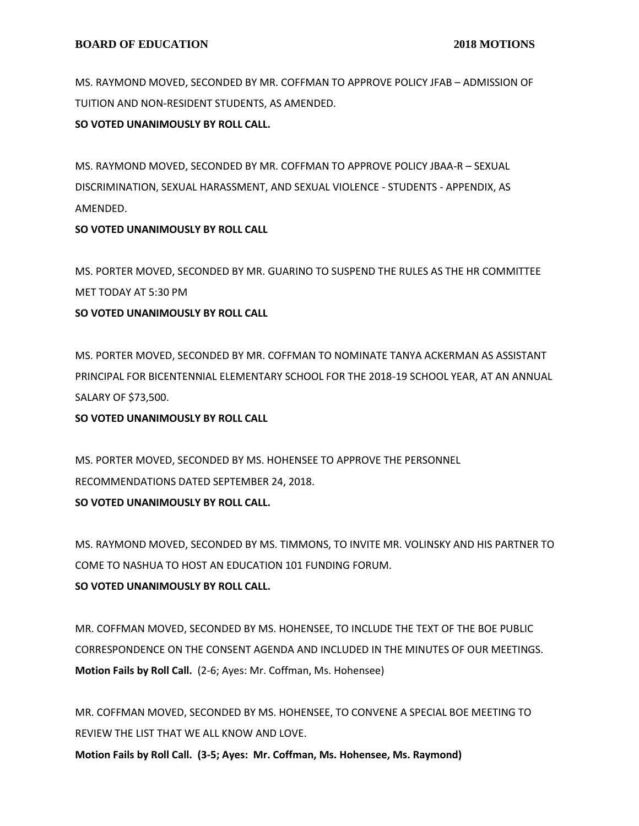MS. RAYMOND MOVED, SECONDED BY MR. COFFMAN TO APPROVE POLICY JFAB – ADMISSION OF TUITION AND NON-RESIDENT STUDENTS, AS AMENDED.

#### **SO VOTED UNANIMOUSLY BY ROLL CALL.**

MS. RAYMOND MOVED, SECONDED BY MR. COFFMAN TO APPROVE POLICY JBAA-R – SEXUAL DISCRIMINATION, SEXUAL HARASSMENT, AND SEXUAL VIOLENCE - STUDENTS - APPENDIX, AS AMENDED.

## **SO VOTED UNANIMOUSLY BY ROLL CALL**

MS. PORTER MOVED, SECONDED BY MR. GUARINO TO SUSPEND THE RULES AS THE HR COMMITTEE MET TODAY AT 5:30 PM

#### **SO VOTED UNANIMOUSLY BY ROLL CALL**

MS. PORTER MOVED, SECONDED BY MR. COFFMAN TO NOMINATE TANYA ACKERMAN AS ASSISTANT PRINCIPAL FOR BICENTENNIAL ELEMENTARY SCHOOL FOR THE 2018-19 SCHOOL YEAR, AT AN ANNUAL SALARY OF \$73,500.

**SO VOTED UNANIMOUSLY BY ROLL CALL**

MS. PORTER MOVED, SECONDED BY MS. HOHENSEE TO APPROVE THE PERSONNEL RECOMMENDATIONS DATED SEPTEMBER 24, 2018.

**SO VOTED UNANIMOUSLY BY ROLL CALL.**

MS. RAYMOND MOVED, SECONDED BY MS. TIMMONS, TO INVITE MR. VOLINSKY AND HIS PARTNER TO COME TO NASHUA TO HOST AN EDUCATION 101 FUNDING FORUM. **SO VOTED UNANIMOUSLY BY ROLL CALL.**

MR. COFFMAN MOVED, SECONDED BY MS. HOHENSEE, TO INCLUDE THE TEXT OF THE BOE PUBLIC CORRESPONDENCE ON THE CONSENT AGENDA AND INCLUDED IN THE MINUTES OF OUR MEETINGS. **Motion Fails by Roll Call.** (2-6; Ayes: Mr. Coffman, Ms. Hohensee)

MR. COFFMAN MOVED, SECONDED BY MS. HOHENSEE, TO CONVENE A SPECIAL BOE MEETING TO REVIEW THE LIST THAT WE ALL KNOW AND LOVE. **Motion Fails by Roll Call. (3-5; Ayes: Mr. Coffman, Ms. Hohensee, Ms. Raymond)**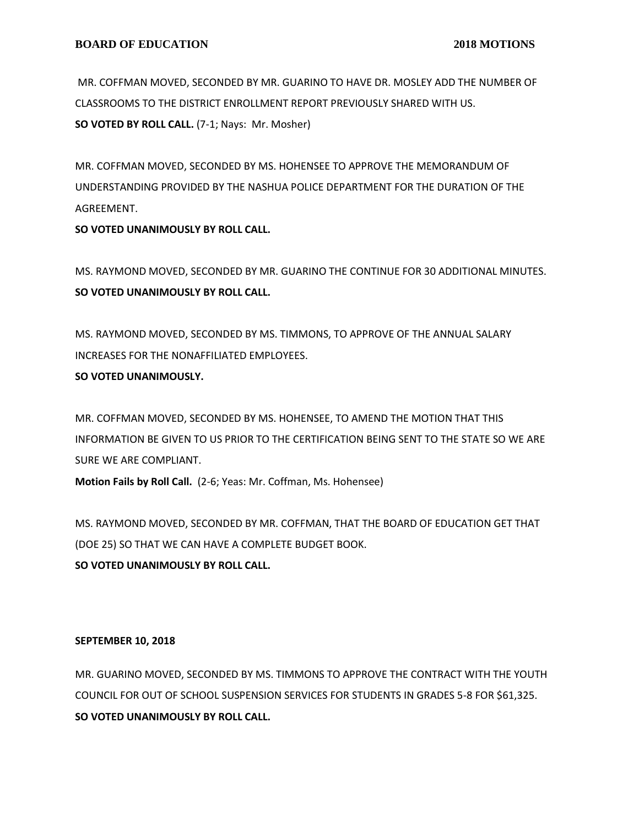MR. COFFMAN MOVED, SECONDED BY MR. GUARINO TO HAVE DR. MOSLEY ADD THE NUMBER OF CLASSROOMS TO THE DISTRICT ENROLLMENT REPORT PREVIOUSLY SHARED WITH US. **SO VOTED BY ROLL CALL.** (7-1; Nays: Mr. Mosher)

MR. COFFMAN MOVED, SECONDED BY MS. HOHENSEE TO APPROVE THE MEMORANDUM OF UNDERSTANDING PROVIDED BY THE NASHUA POLICE DEPARTMENT FOR THE DURATION OF THE AGREEMENT.

**SO VOTED UNANIMOUSLY BY ROLL CALL.**

MS. RAYMOND MOVED, SECONDED BY MR. GUARINO THE CONTINUE FOR 30 ADDITIONAL MINUTES. **SO VOTED UNANIMOUSLY BY ROLL CALL.**

MS. RAYMOND MOVED, SECONDED BY MS. TIMMONS, TO APPROVE OF THE ANNUAL SALARY INCREASES FOR THE NONAFFILIATED EMPLOYEES.

# **SO VOTED UNANIMOUSLY.**

MR. COFFMAN MOVED, SECONDED BY MS. HOHENSEE, TO AMEND THE MOTION THAT THIS INFORMATION BE GIVEN TO US PRIOR TO THE CERTIFICATION BEING SENT TO THE STATE SO WE ARE SURE WE ARE COMPLIANT.

**Motion Fails by Roll Call.** (2-6; Yeas: Mr. Coffman, Ms. Hohensee)

MS. RAYMOND MOVED, SECONDED BY MR. COFFMAN, THAT THE BOARD OF EDUCATION GET THAT (DOE 25) SO THAT WE CAN HAVE A COMPLETE BUDGET BOOK. **SO VOTED UNANIMOUSLY BY ROLL CALL.**

## **SEPTEMBER 10, 2018**

MR. GUARINO MOVED, SECONDED BY MS. TIMMONS TO APPROVE THE CONTRACT WITH THE YOUTH COUNCIL FOR OUT OF SCHOOL SUSPENSION SERVICES FOR STUDENTS IN GRADES 5-8 FOR \$61,325. **SO VOTED UNANIMOUSLY BY ROLL CALL.**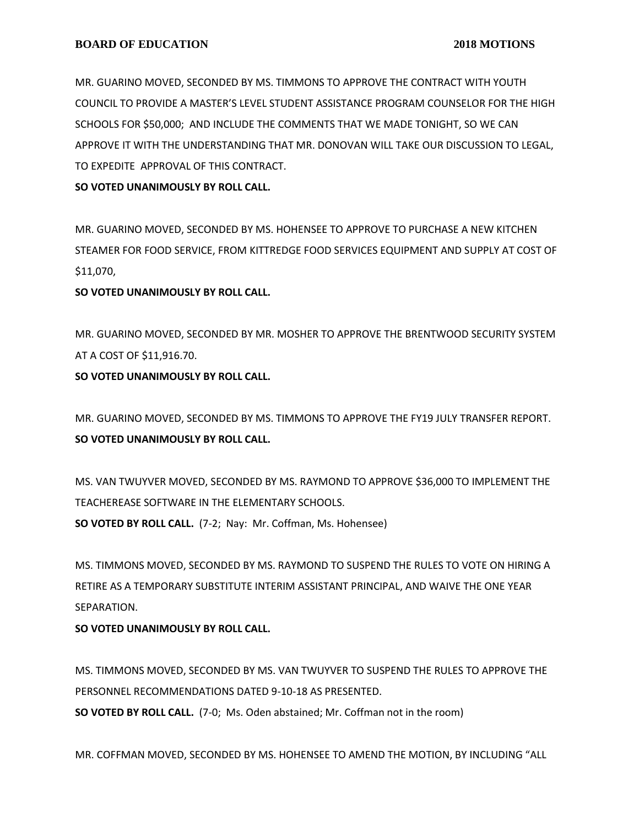MR. GUARINO MOVED, SECONDED BY MS. TIMMONS TO APPROVE THE CONTRACT WITH YOUTH COUNCIL TO PROVIDE A MASTER'S LEVEL STUDENT ASSISTANCE PROGRAM COUNSELOR FOR THE HIGH SCHOOLS FOR \$50,000; AND INCLUDE THE COMMENTS THAT WE MADE TONIGHT, SO WE CAN APPROVE IT WITH THE UNDERSTANDING THAT MR. DONOVAN WILL TAKE OUR DISCUSSION TO LEGAL, TO EXPEDITE APPROVAL OF THIS CONTRACT.

**SO VOTED UNANIMOUSLY BY ROLL CALL.**

MR. GUARINO MOVED, SECONDED BY MS. HOHENSEE TO APPROVE TO PURCHASE A NEW KITCHEN STEAMER FOR FOOD SERVICE, FROM KITTREDGE FOOD SERVICES EQUIPMENT AND SUPPLY AT COST OF \$11,070,

#### **SO VOTED UNANIMOUSLY BY ROLL CALL.**

MR. GUARINO MOVED, SECONDED BY MR. MOSHER TO APPROVE THE BRENTWOOD SECURITY SYSTEM AT A COST OF \$11,916.70.

#### **SO VOTED UNANIMOUSLY BY ROLL CALL.**

MR. GUARINO MOVED, SECONDED BY MS. TIMMONS TO APPROVE THE FY19 JULY TRANSFER REPORT. **SO VOTED UNANIMOUSLY BY ROLL CALL.**

MS. VAN TWUYVER MOVED, SECONDED BY MS. RAYMOND TO APPROVE \$36,000 TO IMPLEMENT THE TEACHEREASE SOFTWARE IN THE ELEMENTARY SCHOOLS. **SO VOTED BY ROLL CALL.** (7-2; Nay: Mr. Coffman, Ms. Hohensee)

MS. TIMMONS MOVED, SECONDED BY MS. RAYMOND TO SUSPEND THE RULES TO VOTE ON HIRING A RETIRE AS A TEMPORARY SUBSTITUTE INTERIM ASSISTANT PRINCIPAL, AND WAIVE THE ONE YEAR SEPARATION.

## **SO VOTED UNANIMOUSLY BY ROLL CALL.**

MS. TIMMONS MOVED, SECONDED BY MS. VAN TWUYVER TO SUSPEND THE RULES TO APPROVE THE PERSONNEL RECOMMENDATIONS DATED 9-10-18 AS PRESENTED.

**SO VOTED BY ROLL CALL.** (7-0; Ms. Oden abstained; Mr. Coffman not in the room)

MR. COFFMAN MOVED, SECONDED BY MS. HOHENSEE TO AMEND THE MOTION, BY INCLUDING "ALL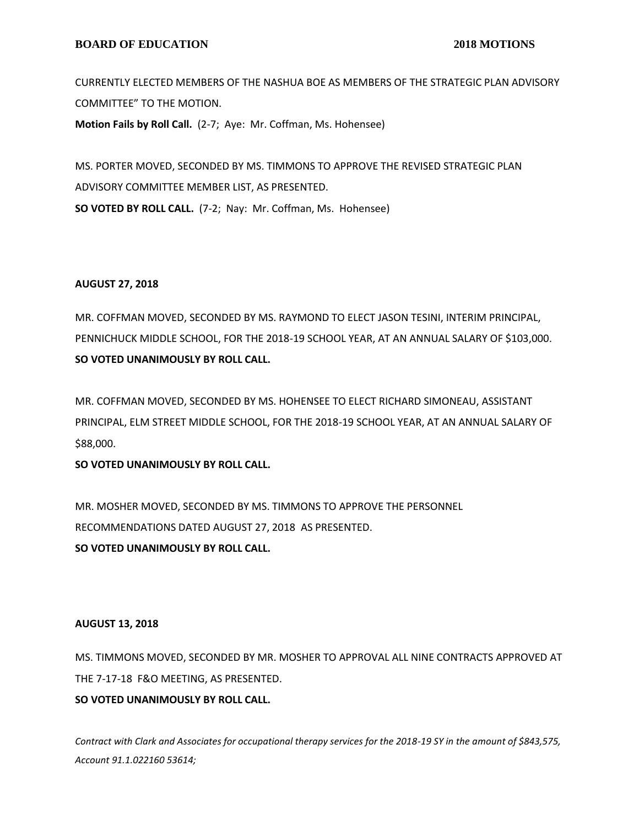#### **BOARD OF EDUCATION** 2018 MOTIONS

CURRENTLY ELECTED MEMBERS OF THE NASHUA BOE AS MEMBERS OF THE STRATEGIC PLAN ADVISORY COMMITTEE" TO THE MOTION. **Motion Fails by Roll Call.** (2-7; Aye: Mr. Coffman, Ms. Hohensee)

MS. PORTER MOVED, SECONDED BY MS. TIMMONS TO APPROVE THE REVISED STRATEGIC PLAN ADVISORY COMMITTEE MEMBER LIST, AS PRESENTED. **SO VOTED BY ROLL CALL.** (7-2; Nay: Mr. Coffman, Ms. Hohensee)

#### **AUGUST 27, 2018**

MR. COFFMAN MOVED, SECONDED BY MS. RAYMOND TO ELECT JASON TESINI, INTERIM PRINCIPAL, PENNICHUCK MIDDLE SCHOOL, FOR THE 2018-19 SCHOOL YEAR, AT AN ANNUAL SALARY OF \$103,000. **SO VOTED UNANIMOUSLY BY ROLL CALL.**

MR. COFFMAN MOVED, SECONDED BY MS. HOHENSEE TO ELECT RICHARD SIMONEAU, ASSISTANT PRINCIPAL, ELM STREET MIDDLE SCHOOL, FOR THE 2018-19 SCHOOL YEAR, AT AN ANNUAL SALARY OF \$88,000.

**SO VOTED UNANIMOUSLY BY ROLL CALL.**

MR. MOSHER MOVED, SECONDED BY MS. TIMMONS TO APPROVE THE PERSONNEL RECOMMENDATIONS DATED AUGUST 27, 2018 AS PRESENTED. **SO VOTED UNANIMOUSLY BY ROLL CALL.**

#### **AUGUST 13, 2018**

MS. TIMMONS MOVED, SECONDED BY MR. MOSHER TO APPROVAL ALL NINE CONTRACTS APPROVED AT THE 7-17-18 F&O MEETING, AS PRESENTED.

**SO VOTED UNANIMOUSLY BY ROLL CALL.**

*Contract with Clark and Associates for occupational therapy services for the 2018-19 SY in the amount of \$843,575, Account 91.1.022160 53614;*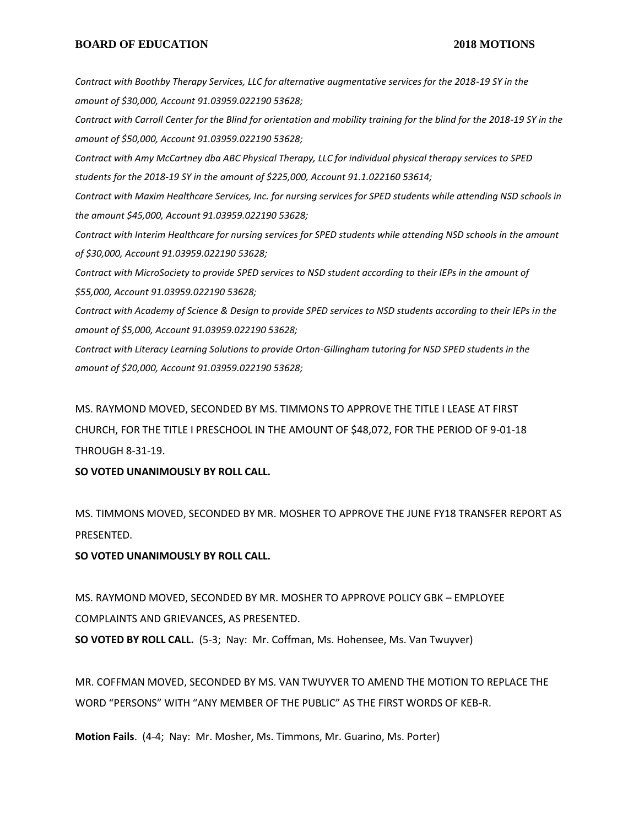#### **BOARD OF EDUCATION** 2018 MOTIONS

*Contract with Boothby Therapy Services, LLC for alternative augmentative services for the 2018-19 SY in the amount of \$30,000, Account 91.03959.022190 53628; Contract with Carroll Center for the Blind for orientation and mobility training for the blind for the 2018-19 SY in the amount of \$50,000, Account 91.03959.022190 53628; Contract with Amy McCartney dba ABC Physical Therapy, LLC for individual physical therapy services to SPED students for the 2018-19 SY in the amount of \$225,000, Account 91.1.022160 53614; Contract with Maxim Healthcare Services, Inc. for nursing services for SPED students while attending NSD schools in the amount \$45,000, Account 91.03959.022190 53628; Contract with Interim Healthcare for nursing services for SPED students while attending NSD schools in the amount of \$30,000, Account 91.03959.022190 53628; Contract with MicroSociety to provide SPED services to NSD student according to their IEPs in the amount of \$55,000, Account 91.03959.022190 53628; Contract with Academy of Science & Design to provide SPED services to NSD students according to their IEPs in the amount of \$5,000, Account 91.03959.022190 53628; Contract with Literacy Learning Solutions to provide Orton-Gillingham tutoring for NSD SPED students in the amount of \$20,000, Account 91.03959.022190 53628;* MS. RAYMOND MOVED, SECONDED BY MS. TIMMONS TO APPROVE THE TITLE I LEASE AT FIRST

CHURCH, FOR THE TITLE I PRESCHOOL IN THE AMOUNT OF \$48,072, FOR THE PERIOD OF 9-01-18 THROUGH 8-31-19.

**SO VOTED UNANIMOUSLY BY ROLL CALL.**

MS. TIMMONS MOVED, SECONDED BY MR. MOSHER TO APPROVE THE JUNE FY18 TRANSFER REPORT AS PRESENTED.

#### **SO VOTED UNANIMOUSLY BY ROLL CALL.**

MS. RAYMOND MOVED, SECONDED BY MR. MOSHER TO APPROVE POLICY GBK – EMPLOYEE COMPLAINTS AND GRIEVANCES, AS PRESENTED.

**SO VOTED BY ROLL CALL.** (5-3; Nay: Mr. Coffman, Ms. Hohensee, Ms. Van Twuyver)

MR. COFFMAN MOVED, SECONDED BY MS. VAN TWUYVER TO AMEND THE MOTION TO REPLACE THE WORD "PERSONS" WITH "ANY MEMBER OF THE PUBLIC" AS THE FIRST WORDS OF KEB-R.

**Motion Fails**. (4-4; Nay: Mr. Mosher, Ms. Timmons, Mr. Guarino, Ms. Porter)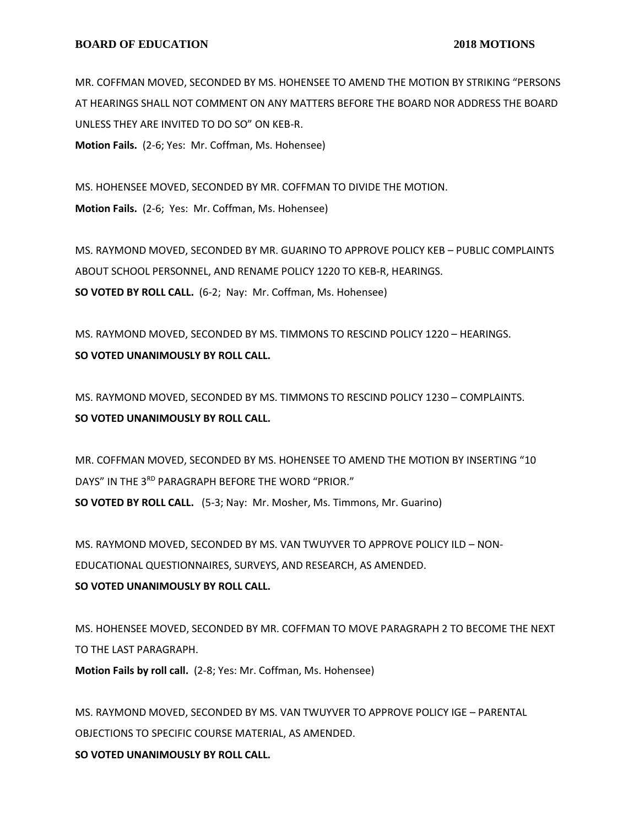#### **BOARD OF EDUCATION** 2018 MOTIONS

MR. COFFMAN MOVED, SECONDED BY MS. HOHENSEE TO AMEND THE MOTION BY STRIKING "PERSONS AT HEARINGS SHALL NOT COMMENT ON ANY MATTERS BEFORE THE BOARD NOR ADDRESS THE BOARD UNLESS THEY ARE INVITED TO DO SO" ON KEB-R.

**Motion Fails.** (2-6; Yes: Mr. Coffman, Ms. Hohensee)

MS. HOHENSEE MOVED, SECONDED BY MR. COFFMAN TO DIVIDE THE MOTION. **Motion Fails.** (2-6; Yes: Mr. Coffman, Ms. Hohensee)

MS. RAYMOND MOVED, SECONDED BY MR. GUARINO TO APPROVE POLICY KEB – PUBLIC COMPLAINTS ABOUT SCHOOL PERSONNEL, AND RENAME POLICY 1220 TO KEB-R, HEARINGS. **SO VOTED BY ROLL CALL.** (6-2; Nay: Mr. Coffman, Ms. Hohensee)

MS. RAYMOND MOVED, SECONDED BY MS. TIMMONS TO RESCIND POLICY 1220 – HEARINGS. **SO VOTED UNANIMOUSLY BY ROLL CALL.**

MS. RAYMOND MOVED, SECONDED BY MS. TIMMONS TO RESCIND POLICY 1230 – COMPLAINTS. **SO VOTED UNANIMOUSLY BY ROLL CALL.**

MR. COFFMAN MOVED, SECONDED BY MS. HOHENSEE TO AMEND THE MOTION BY INSERTING "10 DAYS" IN THE 3RD PARAGRAPH BEFORE THE WORD "PRIOR." **SO VOTED BY ROLL CALL.** (5-3; Nay: Mr. Mosher, Ms. Timmons, Mr. Guarino)

MS. RAYMOND MOVED, SECONDED BY MS. VAN TWUYVER TO APPROVE POLICY ILD – NON-EDUCATIONAL QUESTIONNAIRES, SURVEYS, AND RESEARCH, AS AMENDED. **SO VOTED UNANIMOUSLY BY ROLL CALL.**

MS. HOHENSEE MOVED, SECONDED BY MR. COFFMAN TO MOVE PARAGRAPH 2 TO BECOME THE NEXT TO THE LAST PARAGRAPH.

**Motion Fails by roll call.** (2-8; Yes: Mr. Coffman, Ms. Hohensee)

MS. RAYMOND MOVED, SECONDED BY MS. VAN TWUYVER TO APPROVE POLICY IGE – PARENTAL OBJECTIONS TO SPECIFIC COURSE MATERIAL, AS AMENDED. **SO VOTED UNANIMOUSLY BY ROLL CALL.**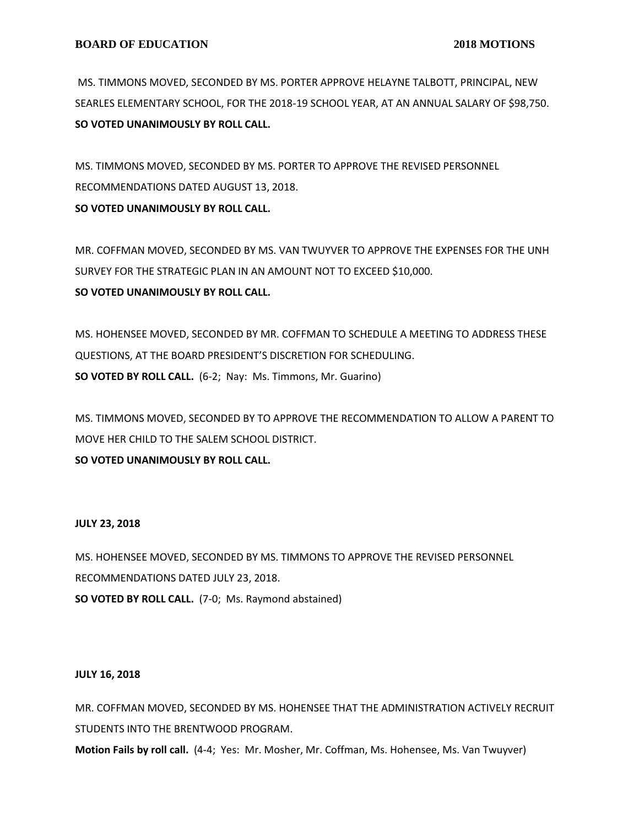MS. TIMMONS MOVED, SECONDED BY MS. PORTER APPROVE HELAYNE TALBOTT, PRINCIPAL, NEW SEARLES ELEMENTARY SCHOOL, FOR THE 2018-19 SCHOOL YEAR, AT AN ANNUAL SALARY OF \$98,750. **SO VOTED UNANIMOUSLY BY ROLL CALL.**

MS. TIMMONS MOVED, SECONDED BY MS. PORTER TO APPROVE THE REVISED PERSONNEL RECOMMENDATIONS DATED AUGUST 13, 2018.

# **SO VOTED UNANIMOUSLY BY ROLL CALL.**

MR. COFFMAN MOVED, SECONDED BY MS. VAN TWUYVER TO APPROVE THE EXPENSES FOR THE UNH SURVEY FOR THE STRATEGIC PLAN IN AN AMOUNT NOT TO EXCEED \$10,000. **SO VOTED UNANIMOUSLY BY ROLL CALL.**

MS. HOHENSEE MOVED, SECONDED BY MR. COFFMAN TO SCHEDULE A MEETING TO ADDRESS THESE QUESTIONS, AT THE BOARD PRESIDENT'S DISCRETION FOR SCHEDULING. **SO VOTED BY ROLL CALL.** (6-2; Nay: Ms. Timmons, Mr. Guarino)

MS. TIMMONS MOVED, SECONDED BY TO APPROVE THE RECOMMENDATION TO ALLOW A PARENT TO MOVE HER CHILD TO THE SALEM SCHOOL DISTRICT.

**SO VOTED UNANIMOUSLY BY ROLL CALL.**

# **JULY 23, 2018**

MS. HOHENSEE MOVED, SECONDED BY MS. TIMMONS TO APPROVE THE REVISED PERSONNEL RECOMMENDATIONS DATED JULY 23, 2018. **SO VOTED BY ROLL CALL.** (7-0; Ms. Raymond abstained)

## **JULY 16, 2018**

MR. COFFMAN MOVED, SECONDED BY MS. HOHENSEE THAT THE ADMINISTRATION ACTIVELY RECRUIT STUDENTS INTO THE BRENTWOOD PROGRAM.

**Motion Fails by roll call.** (4-4; Yes: Mr. Mosher, Mr. Coffman, Ms. Hohensee, Ms. Van Twuyver)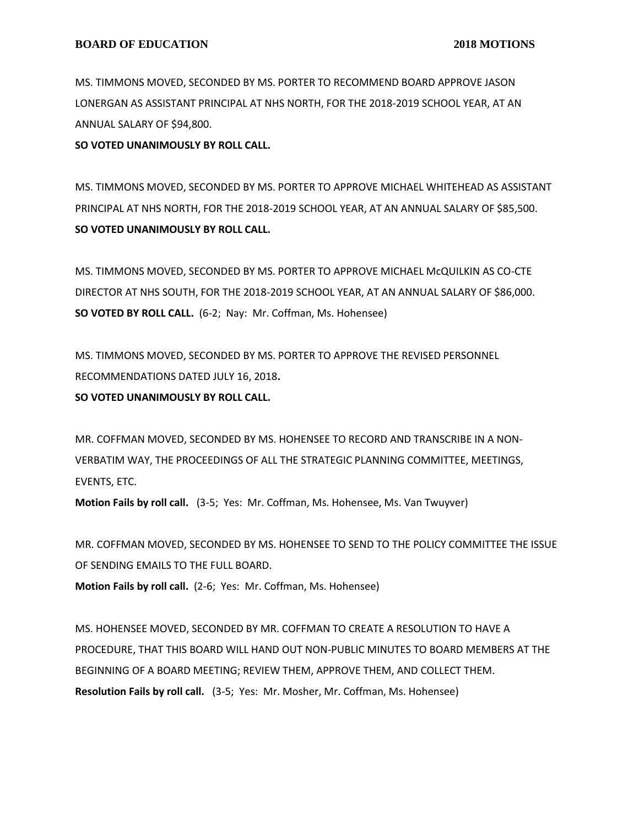MS. TIMMONS MOVED, SECONDED BY MS. PORTER TO RECOMMEND BOARD APPROVE JASON LONERGAN AS ASSISTANT PRINCIPAL AT NHS NORTH, FOR THE 2018-2019 SCHOOL YEAR, AT AN ANNUAL SALARY OF \$94,800.

**SO VOTED UNANIMOUSLY BY ROLL CALL.**

MS. TIMMONS MOVED, SECONDED BY MS. PORTER TO APPROVE MICHAEL WHITEHEAD AS ASSISTANT PRINCIPAL AT NHS NORTH, FOR THE 2018-2019 SCHOOL YEAR, AT AN ANNUAL SALARY OF \$85,500. **SO VOTED UNANIMOUSLY BY ROLL CALL.**

MS. TIMMONS MOVED, SECONDED BY MS. PORTER TO APPROVE MICHAEL McQUILKIN AS CO-CTE DIRECTOR AT NHS SOUTH, FOR THE 2018-2019 SCHOOL YEAR, AT AN ANNUAL SALARY OF \$86,000. **SO VOTED BY ROLL CALL.** (6-2; Nay: Mr. Coffman, Ms. Hohensee)

MS. TIMMONS MOVED, SECONDED BY MS. PORTER TO APPROVE THE REVISED PERSONNEL RECOMMENDATIONS DATED JULY 16, 2018**.**

**SO VOTED UNANIMOUSLY BY ROLL CALL.**

MR. COFFMAN MOVED, SECONDED BY MS. HOHENSEE TO RECORD AND TRANSCRIBE IN A NON-VERBATIM WAY, THE PROCEEDINGS OF ALL THE STRATEGIC PLANNING COMMITTEE, MEETINGS, EVENTS, ETC.

**Motion Fails by roll call.** (3-5; Yes: Mr. Coffman, Ms. Hohensee, Ms. Van Twuyver)

MR. COFFMAN MOVED, SECONDED BY MS. HOHENSEE TO SEND TO THE POLICY COMMITTEE THE ISSUE OF SENDING EMAILS TO THE FULL BOARD. **Motion Fails by roll call.** (2-6; Yes: Mr. Coffman, Ms. Hohensee)

MS. HOHENSEE MOVED, SECONDED BY MR. COFFMAN TO CREATE A RESOLUTION TO HAVE A PROCEDURE, THAT THIS BOARD WILL HAND OUT NON-PUBLIC MINUTES TO BOARD MEMBERS AT THE BEGINNING OF A BOARD MEETING; REVIEW THEM, APPROVE THEM, AND COLLECT THEM. **Resolution Fails by roll call.** (3-5; Yes: Mr. Mosher, Mr. Coffman, Ms. Hohensee)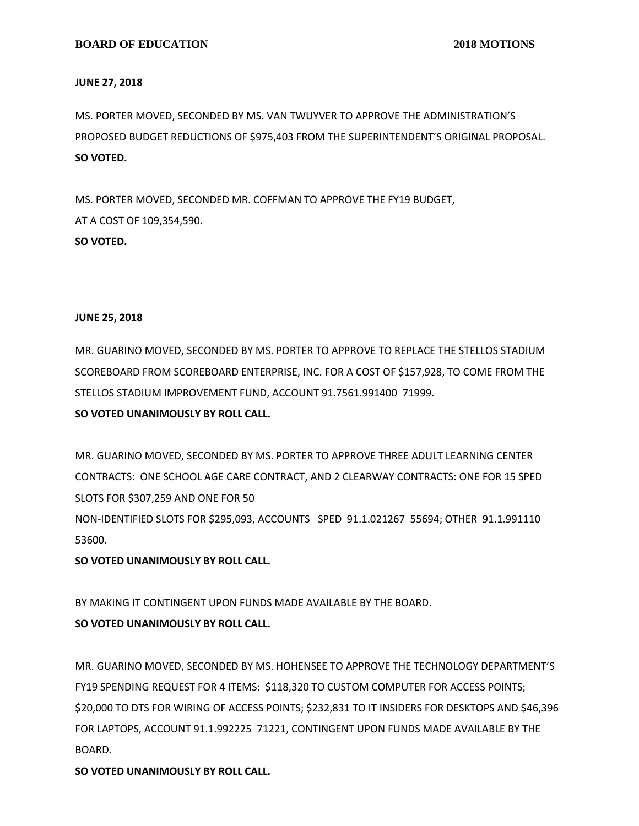#### **JUNE 27, 2018**

MS. PORTER MOVED, SECONDED BY MS. VAN TWUYVER TO APPROVE THE ADMINISTRATION'S PROPOSED BUDGET REDUCTIONS OF \$975,403 FROM THE SUPERINTENDENT'S ORIGINAL PROPOSAL. **SO VOTED.**

MS. PORTER MOVED, SECONDED MR. COFFMAN TO APPROVE THE FY19 BUDGET, AT A COST OF 109,354,590. **SO VOTED.**

## **JUNE 25, 2018**

MR. GUARINO MOVED, SECONDED BY MS. PORTER TO APPROVE TO REPLACE THE STELLOS STADIUM SCOREBOARD FROM SCOREBOARD ENTERPRISE, INC. FOR A COST OF \$157,928, TO COME FROM THE STELLOS STADIUM IMPROVEMENT FUND, ACCOUNT 91.7561.991400 71999.

## **SO VOTED UNANIMOUSLY BY ROLL CALL.**

MR. GUARINO MOVED, SECONDED BY MS. PORTER TO APPROVE THREE ADULT LEARNING CENTER CONTRACTS: ONE SCHOOL AGE CARE CONTRACT, AND 2 CLEARWAY CONTRACTS: ONE FOR 15 SPED SLOTS FOR \$307,259 AND ONE FOR 50

NON-IDENTIFIED SLOTS FOR \$295,093, ACCOUNTS SPED 91.1.021267 55694; OTHER 91.1.991110 53600.

## **SO VOTED UNANIMOUSLY BY ROLL CALL.**

BY MAKING IT CONTINGENT UPON FUNDS MADE AVAILABLE BY THE BOARD.

# **SO VOTED UNANIMOUSLY BY ROLL CALL.**

MR. GUARINO MOVED, SECONDED BY MS. HOHENSEE TO APPROVE THE TECHNOLOGY DEPARTMENT'S FY19 SPENDING REQUEST FOR 4 ITEMS: \$118,320 TO CUSTOM COMPUTER FOR ACCESS POINTS; \$20,000 TO DTS FOR WIRING OF ACCESS POINTS; \$232,831 TO IT INSIDERS FOR DESKTOPS AND \$46,396 FOR LAPTOPS, ACCOUNT 91.1.992225 71221, CONTINGENT UPON FUNDS MADE AVAILABLE BY THE BOARD.

**SO VOTED UNANIMOUSLY BY ROLL CALL.**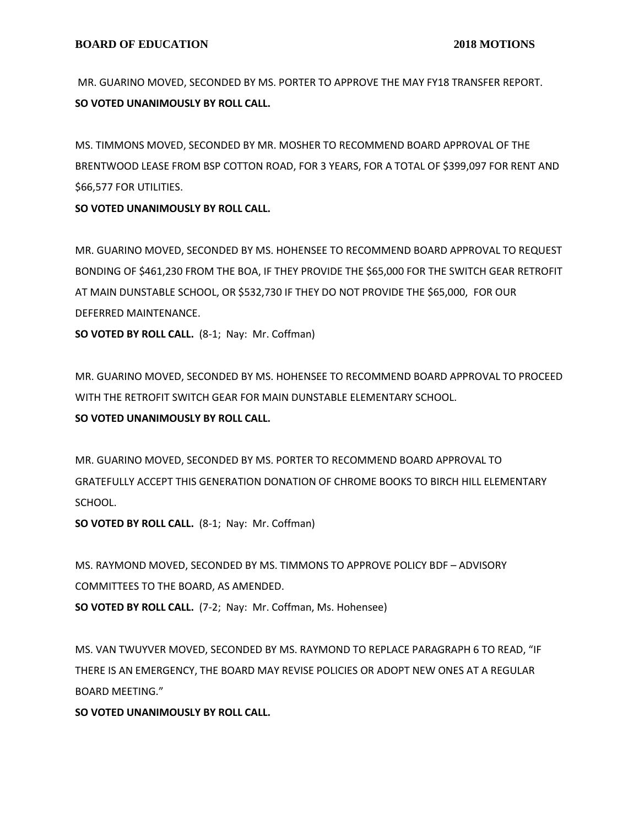MR. GUARINO MOVED, SECONDED BY MS. PORTER TO APPROVE THE MAY FY18 TRANSFER REPORT. **SO VOTED UNANIMOUSLY BY ROLL CALL.**

MS. TIMMONS MOVED, SECONDED BY MR. MOSHER TO RECOMMEND BOARD APPROVAL OF THE BRENTWOOD LEASE FROM BSP COTTON ROAD, FOR 3 YEARS, FOR A TOTAL OF \$399,097 FOR RENT AND \$66,577 FOR UTILITIES.

**SO VOTED UNANIMOUSLY BY ROLL CALL.**

MR. GUARINO MOVED, SECONDED BY MS. HOHENSEE TO RECOMMEND BOARD APPROVAL TO REQUEST BONDING OF \$461,230 FROM THE BOA, IF THEY PROVIDE THE \$65,000 FOR THE SWITCH GEAR RETROFIT AT MAIN DUNSTABLE SCHOOL, OR \$532,730 IF THEY DO NOT PROVIDE THE \$65,000, FOR OUR DEFERRED MAINTENANCE.

**SO VOTED BY ROLL CALL.** (8-1; Nay: Mr. Coffman)

MR. GUARINO MOVED, SECONDED BY MS. HOHENSEE TO RECOMMEND BOARD APPROVAL TO PROCEED WITH THE RETROFIT SWITCH GEAR FOR MAIN DUNSTABLE ELEMENTARY SCHOOL.

# **SO VOTED UNANIMOUSLY BY ROLL CALL.**

MR. GUARINO MOVED, SECONDED BY MS. PORTER TO RECOMMEND BOARD APPROVAL TO GRATEFULLY ACCEPT THIS GENERATION DONATION OF CHROME BOOKS TO BIRCH HILL ELEMENTARY SCHOOL.

**SO VOTED BY ROLL CALL.** (8-1; Nay: Mr. Coffman)

MS. RAYMOND MOVED, SECONDED BY MS. TIMMONS TO APPROVE POLICY BDF – ADVISORY COMMITTEES TO THE BOARD, AS AMENDED.

**SO VOTED BY ROLL CALL.** (7-2; Nay: Mr. Coffman, Ms. Hohensee)

MS. VAN TWUYVER MOVED, SECONDED BY MS. RAYMOND TO REPLACE PARAGRAPH 6 TO READ, "IF THERE IS AN EMERGENCY, THE BOARD MAY REVISE POLICIES OR ADOPT NEW ONES AT A REGULAR BOARD MEETING."

**SO VOTED UNANIMOUSLY BY ROLL CALL.**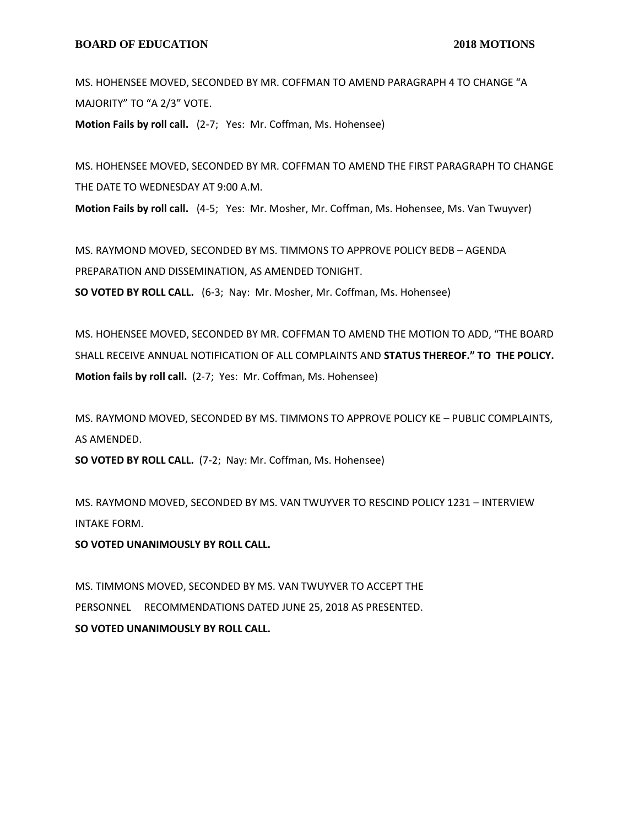MS. HOHENSEE MOVED, SECONDED BY MR. COFFMAN TO AMEND PARAGRAPH 4 TO CHANGE "A MAJORITY" TO "A 2/3" VOTE.

**Motion Fails by roll call.** (2-7; Yes: Mr. Coffman, Ms. Hohensee)

MS. HOHENSEE MOVED, SECONDED BY MR. COFFMAN TO AMEND THE FIRST PARAGRAPH TO CHANGE THE DATE TO WEDNESDAY AT 9:00 A.M.

**Motion Fails by roll call.** (4-5; Yes: Mr. Mosher, Mr. Coffman, Ms. Hohensee, Ms. Van Twuyver)

MS. RAYMOND MOVED, SECONDED BY MS. TIMMONS TO APPROVE POLICY BEDB – AGENDA PREPARATION AND DISSEMINATION, AS AMENDED TONIGHT. **SO VOTED BY ROLL CALL.** (6-3; Nay: Mr. Mosher, Mr. Coffman, Ms. Hohensee)

MS. HOHENSEE MOVED, SECONDED BY MR. COFFMAN TO AMEND THE MOTION TO ADD, "THE BOARD SHALL RECEIVE ANNUAL NOTIFICATION OF ALL COMPLAINTS AND **STATUS THEREOF." TO THE POLICY. Motion fails by roll call.** (2-7; Yes: Mr. Coffman, Ms. Hohensee)

MS. RAYMOND MOVED, SECONDED BY MS. TIMMONS TO APPROVE POLICY KE – PUBLIC COMPLAINTS, AS AMENDED.

**SO VOTED BY ROLL CALL.** (7-2; Nay: Mr. Coffman, Ms. Hohensee)

MS. RAYMOND MOVED, SECONDED BY MS. VAN TWUYVER TO RESCIND POLICY 1231 – INTERVIEW INTAKE FORM.

**SO VOTED UNANIMOUSLY BY ROLL CALL.**

MS. TIMMONS MOVED, SECONDED BY MS. VAN TWUYVER TO ACCEPT THE PERSONNEL RECOMMENDATIONS DATED JUNE 25, 2018 AS PRESENTED. **SO VOTED UNANIMOUSLY BY ROLL CALL.**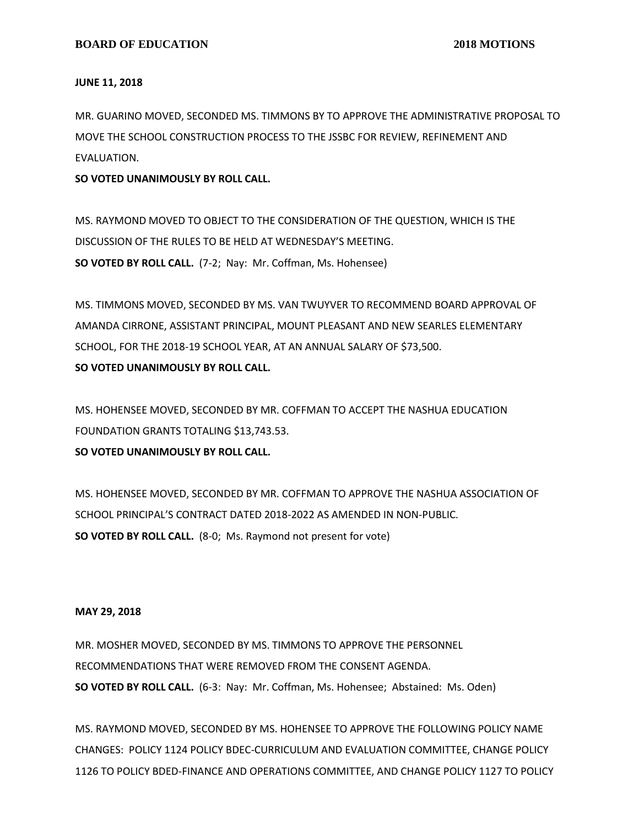#### **JUNE 11, 2018**

MR. GUARINO MOVED, SECONDED MS. TIMMONS BY TO APPROVE THE ADMINISTRATIVE PROPOSAL TO MOVE THE SCHOOL CONSTRUCTION PROCESS TO THE JSSBC FOR REVIEW, REFINEMENT AND EVALUATION.

**SO VOTED UNANIMOUSLY BY ROLL CALL.**

MS. RAYMOND MOVED TO OBJECT TO THE CONSIDERATION OF THE QUESTION, WHICH IS THE DISCUSSION OF THE RULES TO BE HELD AT WEDNESDAY'S MEETING. **SO VOTED BY ROLL CALL.** (7-2; Nay: Mr. Coffman, Ms. Hohensee)

MS. TIMMONS MOVED, SECONDED BY MS. VAN TWUYVER TO RECOMMEND BOARD APPROVAL OF AMANDA CIRRONE, ASSISTANT PRINCIPAL, MOUNT PLEASANT AND NEW SEARLES ELEMENTARY SCHOOL, FOR THE 2018-19 SCHOOL YEAR, AT AN ANNUAL SALARY OF \$73,500. **SO VOTED UNANIMOUSLY BY ROLL CALL.**

MS. HOHENSEE MOVED, SECONDED BY MR. COFFMAN TO ACCEPT THE NASHUA EDUCATION FOUNDATION GRANTS TOTALING \$13,743.53. **SO VOTED UNANIMOUSLY BY ROLL CALL.**

MS. HOHENSEE MOVED, SECONDED BY MR. COFFMAN TO APPROVE THE NASHUA ASSOCIATION OF SCHOOL PRINCIPAL'S CONTRACT DATED 2018-2022 AS AMENDED IN NON-PUBLIC. **SO VOTED BY ROLL CALL.** (8-0; Ms. Raymond not present for vote)

#### **MAY 29, 2018**

MR. MOSHER MOVED, SECONDED BY MS. TIMMONS TO APPROVE THE PERSONNEL RECOMMENDATIONS THAT WERE REMOVED FROM THE CONSENT AGENDA. **SO VOTED BY ROLL CALL.** (6-3: Nay: Mr. Coffman, Ms. Hohensee; Abstained: Ms. Oden)

MS. RAYMOND MOVED, SECONDED BY MS. HOHENSEE TO APPROVE THE FOLLOWING POLICY NAME CHANGES: POLICY 1124 POLICY BDEC-CURRICULUM AND EVALUATION COMMITTEE, CHANGE POLICY 1126 TO POLICY BDED-FINANCE AND OPERATIONS COMMITTEE, AND CHANGE POLICY 1127 TO POLICY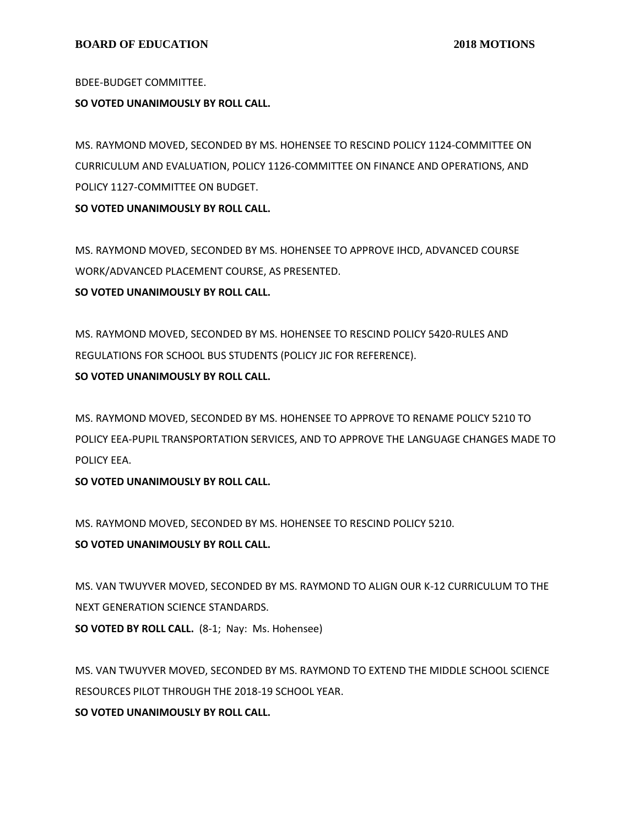BDEE-BUDGET COMMITTEE.

# **SO VOTED UNANIMOUSLY BY ROLL CALL.**

MS. RAYMOND MOVED, SECONDED BY MS. HOHENSEE TO RESCIND POLICY 1124-COMMITTEE ON CURRICULUM AND EVALUATION, POLICY 1126-COMMITTEE ON FINANCE AND OPERATIONS, AND POLICY 1127-COMMITTEE ON BUDGET.

**SO VOTED UNANIMOUSLY BY ROLL CALL.**

MS. RAYMOND MOVED, SECONDED BY MS. HOHENSEE TO APPROVE IHCD, ADVANCED COURSE WORK/ADVANCED PLACEMENT COURSE, AS PRESENTED. **SO VOTED UNANIMOUSLY BY ROLL CALL.**

MS. RAYMOND MOVED, SECONDED BY MS. HOHENSEE TO RESCIND POLICY 5420-RULES AND REGULATIONS FOR SCHOOL BUS STUDENTS (POLICY JIC FOR REFERENCE). **SO VOTED UNANIMOUSLY BY ROLL CALL.**

MS. RAYMOND MOVED, SECONDED BY MS. HOHENSEE TO APPROVE TO RENAME POLICY 5210 TO POLICY EEA-PUPIL TRANSPORTATION SERVICES, AND TO APPROVE THE LANGUAGE CHANGES MADE TO POLICY EEA.

**SO VOTED UNANIMOUSLY BY ROLL CALL.**

MS. RAYMOND MOVED, SECONDED BY MS. HOHENSEE TO RESCIND POLICY 5210.

**SO VOTED UNANIMOUSLY BY ROLL CALL.**

MS. VAN TWUYVER MOVED, SECONDED BY MS. RAYMOND TO ALIGN OUR K-12 CURRICULUM TO THE NEXT GENERATION SCIENCE STANDARDS. **SO VOTED BY ROLL CALL.** (8-1; Nay: Ms. Hohensee)

MS. VAN TWUYVER MOVED, SECONDED BY MS. RAYMOND TO EXTEND THE MIDDLE SCHOOL SCIENCE RESOURCES PILOT THROUGH THE 2018-19 SCHOOL YEAR.

**SO VOTED UNANIMOUSLY BY ROLL CALL.**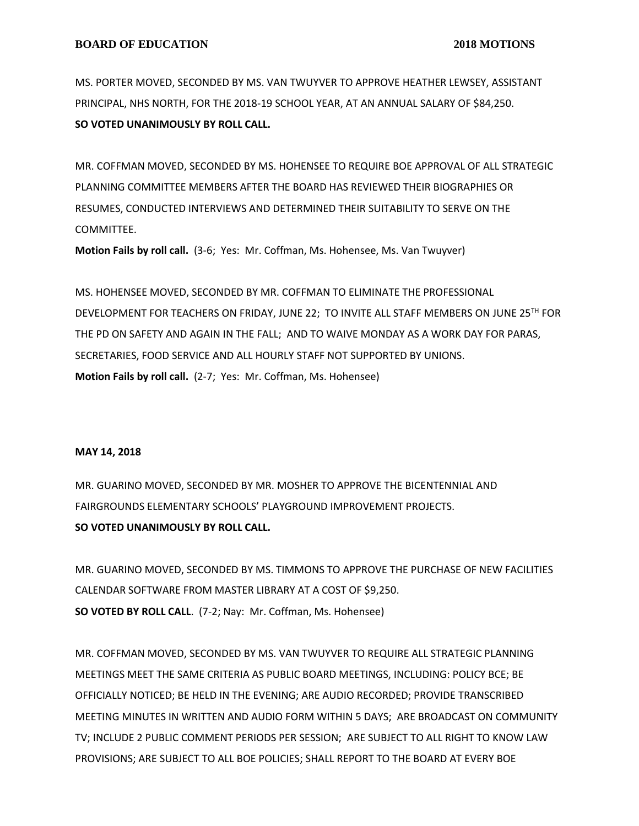MS. PORTER MOVED, SECONDED BY MS. VAN TWUYVER TO APPROVE HEATHER LEWSEY, ASSISTANT PRINCIPAL, NHS NORTH, FOR THE 2018-19 SCHOOL YEAR, AT AN ANNUAL SALARY OF \$84,250. **SO VOTED UNANIMOUSLY BY ROLL CALL.**

MR. COFFMAN MOVED, SECONDED BY MS. HOHENSEE TO REQUIRE BOE APPROVAL OF ALL STRATEGIC PLANNING COMMITTEE MEMBERS AFTER THE BOARD HAS REVIEWED THEIR BIOGRAPHIES OR RESUMES, CONDUCTED INTERVIEWS AND DETERMINED THEIR SUITABILITY TO SERVE ON THE COMMITTEE.

**Motion Fails by roll call.** (3-6; Yes: Mr. Coffman, Ms. Hohensee, Ms. Van Twuyver)

MS. HOHENSEE MOVED, SECONDED BY MR. COFFMAN TO ELIMINATE THE PROFESSIONAL DEVELOPMENT FOR TEACHERS ON FRIDAY, JUNE 22; TO INVITE ALL STAFF MEMBERS ON JUNE 25TH FOR THE PD ON SAFETY AND AGAIN IN THE FALL; AND TO WAIVE MONDAY AS A WORK DAY FOR PARAS, SECRETARIES, FOOD SERVICE AND ALL HOURLY STAFF NOT SUPPORTED BY UNIONS. **Motion Fails by roll call.** (2-7; Yes: Mr. Coffman, Ms. Hohensee)

#### **MAY 14, 2018**

MR. GUARINO MOVED, SECONDED BY MR. MOSHER TO APPROVE THE BICENTENNIAL AND FAIRGROUNDS ELEMENTARY SCHOOLS' PLAYGROUND IMPROVEMENT PROJECTS. **SO VOTED UNANIMOUSLY BY ROLL CALL.**

MR. GUARINO MOVED, SECONDED BY MS. TIMMONS TO APPROVE THE PURCHASE OF NEW FACILITIES CALENDAR SOFTWARE FROM MASTER LIBRARY AT A COST OF \$9,250. **SO VOTED BY ROLL CALL**. (7-2; Nay: Mr. Coffman, Ms. Hohensee)

MR. COFFMAN MOVED, SECONDED BY MS. VAN TWUYVER TO REQUIRE ALL STRATEGIC PLANNING MEETINGS MEET THE SAME CRITERIA AS PUBLIC BOARD MEETINGS, INCLUDING: POLICY BCE; BE OFFICIALLY NOTICED; BE HELD IN THE EVENING; ARE AUDIO RECORDED; PROVIDE TRANSCRIBED MEETING MINUTES IN WRITTEN AND AUDIO FORM WITHIN 5 DAYS; ARE BROADCAST ON COMMUNITY TV; INCLUDE 2 PUBLIC COMMENT PERIODS PER SESSION; ARE SUBJECT TO ALL RIGHT TO KNOW LAW PROVISIONS; ARE SUBJECT TO ALL BOE POLICIES; SHALL REPORT TO THE BOARD AT EVERY BOE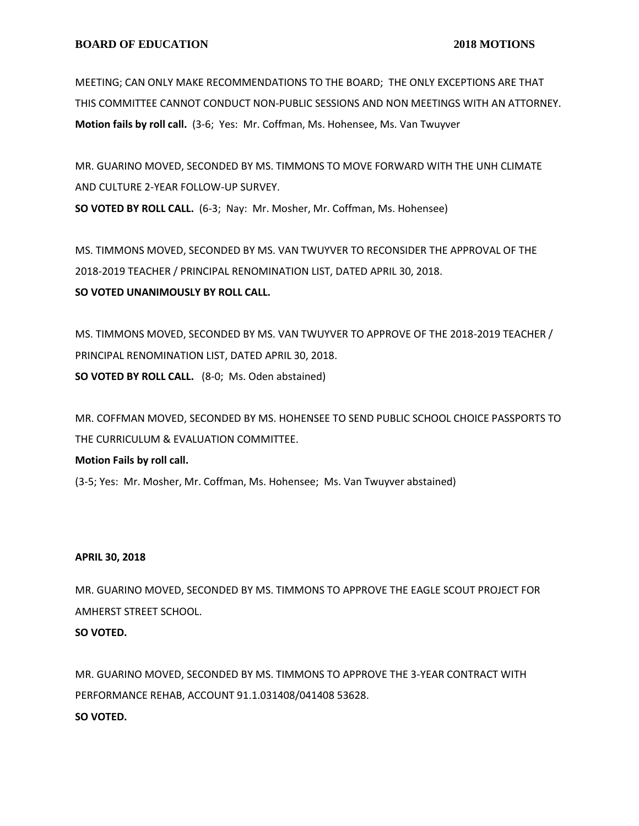MEETING; CAN ONLY MAKE RECOMMENDATIONS TO THE BOARD; THE ONLY EXCEPTIONS ARE THAT THIS COMMITTEE CANNOT CONDUCT NON-PUBLIC SESSIONS AND NON MEETINGS WITH AN ATTORNEY. **Motion fails by roll call.** (3-6; Yes: Mr. Coffman, Ms. Hohensee, Ms. Van Twuyver

MR. GUARINO MOVED, SECONDED BY MS. TIMMONS TO MOVE FORWARD WITH THE UNH CLIMATE AND CULTURE 2-YEAR FOLLOW-UP SURVEY. **SO VOTED BY ROLL CALL.** (6-3; Nay: Mr. Mosher, Mr. Coffman, Ms. Hohensee)

MS. TIMMONS MOVED, SECONDED BY MS. VAN TWUYVER TO RECONSIDER THE APPROVAL OF THE 2018-2019 TEACHER / PRINCIPAL RENOMINATION LIST, DATED APRIL 30, 2018. **SO VOTED UNANIMOUSLY BY ROLL CALL.**

MS. TIMMONS MOVED, SECONDED BY MS. VAN TWUYVER TO APPROVE OF THE 2018-2019 TEACHER / PRINCIPAL RENOMINATION LIST, DATED APRIL 30, 2018. **SO VOTED BY ROLL CALL.** (8-0; Ms. Oden abstained)

MR. COFFMAN MOVED, SECONDED BY MS. HOHENSEE TO SEND PUBLIC SCHOOL CHOICE PASSPORTS TO THE CURRICULUM & EVALUATION COMMITTEE.

**Motion Fails by roll call.**

(3-5; Yes: Mr. Mosher, Mr. Coffman, Ms. Hohensee; Ms. Van Twuyver abstained)

# **APRIL 30, 2018**

MR. GUARINO MOVED, SECONDED BY MS. TIMMONS TO APPROVE THE EAGLE SCOUT PROJECT FOR AMHERST STREET SCHOOL.

#### **SO VOTED.**

MR. GUARINO MOVED, SECONDED BY MS. TIMMONS TO APPROVE THE 3-YEAR CONTRACT WITH PERFORMANCE REHAB, ACCOUNT 91.1.031408/041408 53628. **SO VOTED.**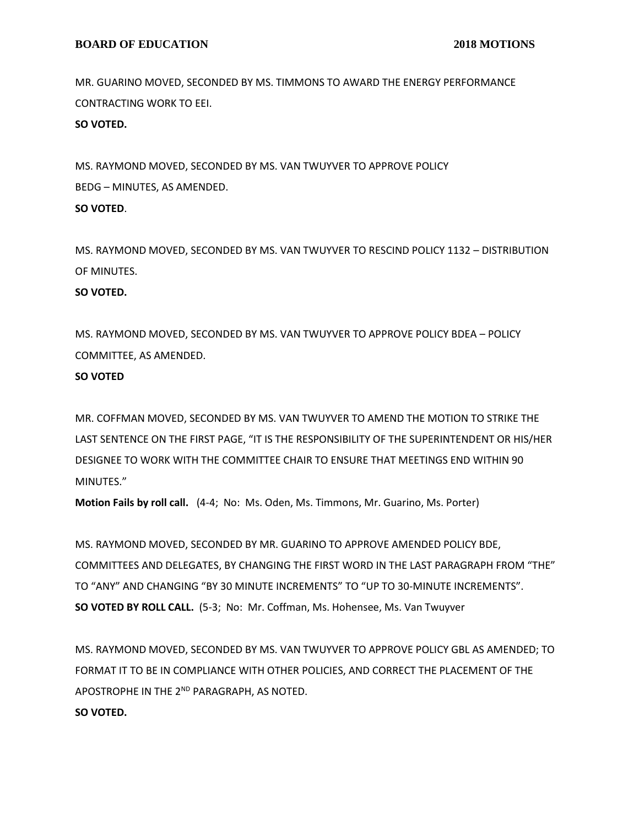MR. GUARINO MOVED, SECONDED BY MS. TIMMONS TO AWARD THE ENERGY PERFORMANCE CONTRACTING WORK TO EEI.

**SO VOTED.**

MS. RAYMOND MOVED, SECONDED BY MS. VAN TWUYVER TO APPROVE POLICY BEDG – MINUTES, AS AMENDED. **SO VOTED**.

MS. RAYMOND MOVED, SECONDED BY MS. VAN TWUYVER TO RESCIND POLICY 1132 – DISTRIBUTION OF MINUTES.

# **SO VOTED.**

MS. RAYMOND MOVED, SECONDED BY MS. VAN TWUYVER TO APPROVE POLICY BDEA – POLICY COMMITTEE, AS AMENDED.

#### **SO VOTED**

MR. COFFMAN MOVED, SECONDED BY MS. VAN TWUYVER TO AMEND THE MOTION TO STRIKE THE LAST SENTENCE ON THE FIRST PAGE, "IT IS THE RESPONSIBILITY OF THE SUPERINTENDENT OR HIS/HER DESIGNEE TO WORK WITH THE COMMITTEE CHAIR TO ENSURE THAT MEETINGS END WITHIN 90 MINUTES."

**Motion Fails by roll call.** (4-4; No: Ms. Oden, Ms. Timmons, Mr. Guarino, Ms. Porter)

MS. RAYMOND MOVED, SECONDED BY MR. GUARINO TO APPROVE AMENDED POLICY BDE, COMMITTEES AND DELEGATES, BY CHANGING THE FIRST WORD IN THE LAST PARAGRAPH FROM "THE" TO "ANY" AND CHANGING "BY 30 MINUTE INCREMENTS" TO "UP TO 30-MINUTE INCREMENTS". **SO VOTED BY ROLL CALL.** (5-3; No: Mr. Coffman, Ms. Hohensee, Ms. Van Twuyver

MS. RAYMOND MOVED, SECONDED BY MS. VAN TWUYVER TO APPROVE POLICY GBL AS AMENDED; TO FORMAT IT TO BE IN COMPLIANCE WITH OTHER POLICIES, AND CORRECT THE PLACEMENT OF THE APOSTROPHE IN THE 2<sup>ND</sup> PARAGRAPH, AS NOTED.

**SO VOTED.**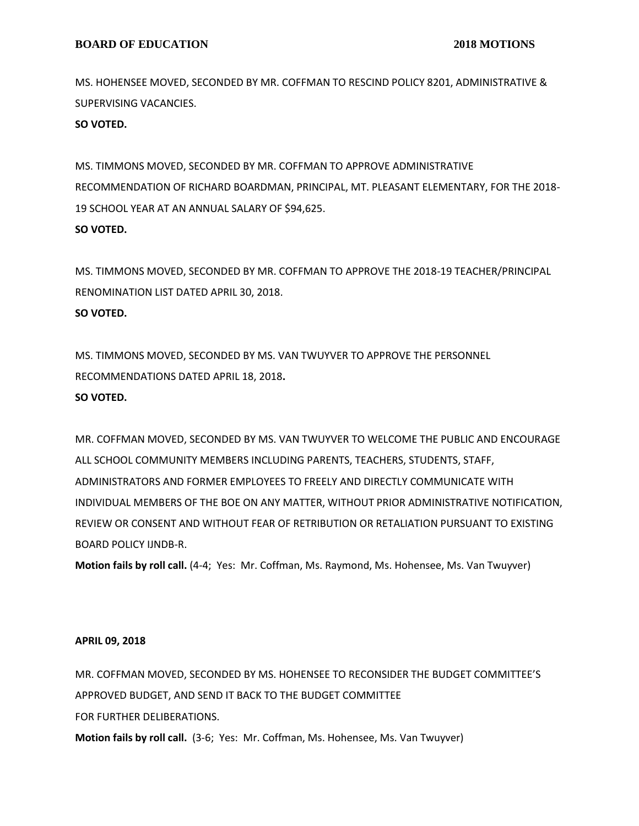MS. HOHENSEE MOVED, SECONDED BY MR. COFFMAN TO RESCIND POLICY 8201, ADMINISTRATIVE & SUPERVISING VACANCIES.

**SO VOTED.**

MS. TIMMONS MOVED, SECONDED BY MR. COFFMAN TO APPROVE ADMINISTRATIVE RECOMMENDATION OF RICHARD BOARDMAN, PRINCIPAL, MT. PLEASANT ELEMENTARY, FOR THE 2018- 19 SCHOOL YEAR AT AN ANNUAL SALARY OF \$94,625. **SO VOTED.**

MS. TIMMONS MOVED, SECONDED BY MR. COFFMAN TO APPROVE THE 2018-19 TEACHER/PRINCIPAL RENOMINATION LIST DATED APRIL 30, 2018. **SO VOTED.**

MS. TIMMONS MOVED, SECONDED BY MS. VAN TWUYVER TO APPROVE THE PERSONNEL RECOMMENDATIONS DATED APRIL 18, 2018**.**

#### **SO VOTED.**

MR. COFFMAN MOVED, SECONDED BY MS. VAN TWUYVER TO WELCOME THE PUBLIC AND ENCOURAGE ALL SCHOOL COMMUNITY MEMBERS INCLUDING PARENTS, TEACHERS, STUDENTS, STAFF, ADMINISTRATORS AND FORMER EMPLOYEES TO FREELY AND DIRECTLY COMMUNICATE WITH INDIVIDUAL MEMBERS OF THE BOE ON ANY MATTER, WITHOUT PRIOR ADMINISTRATIVE NOTIFICATION, REVIEW OR CONSENT AND WITHOUT FEAR OF RETRIBUTION OR RETALIATION PURSUANT TO EXISTING BOARD POLICY IJNDB-R.

**Motion fails by roll call.** (4-4; Yes: Mr. Coffman, Ms. Raymond, Ms. Hohensee, Ms. Van Twuyver)

#### **APRIL 09, 2018**

MR. COFFMAN MOVED, SECONDED BY MS. HOHENSEE TO RECONSIDER THE BUDGET COMMITTEE'S APPROVED BUDGET, AND SEND IT BACK TO THE BUDGET COMMITTEE FOR FURTHER DELIBERATIONS.

**Motion fails by roll call.** (3-6; Yes: Mr. Coffman, Ms. Hohensee, Ms. Van Twuyver)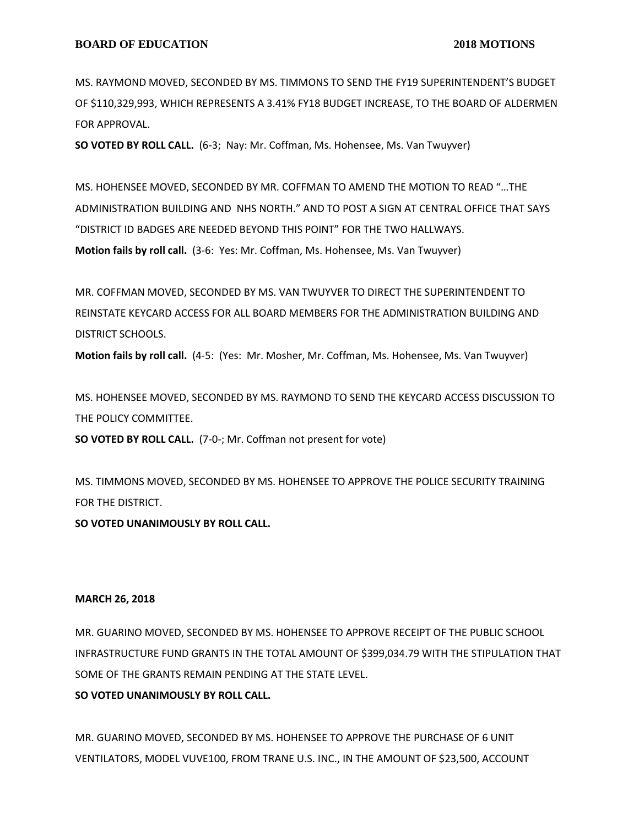MS. RAYMOND MOVED, SECONDED BY MS. TIMMONS TO SEND THE FY19 SUPERINTENDENT'S BUDGET OF \$110,329,993, WHICH REPRESENTS A 3.41% FY18 BUDGET INCREASE, TO THE BOARD OF ALDERMEN FOR APPROVAL.

**SO VOTED BY ROLL CALL.** (6-3; Nay: Mr. Coffman, Ms. Hohensee, Ms. Van Twuyver)

MS. HOHENSEE MOVED, SECONDED BY MR. COFFMAN TO AMEND THE MOTION TO READ "…THE ADMINISTRATION BUILDING AND NHS NORTH." AND TO POST A SIGN AT CENTRAL OFFICE THAT SAYS "DISTRICT ID BADGES ARE NEEDED BEYOND THIS POINT" FOR THE TWO HALLWAYS. **Motion fails by roll call.** (3-6: Yes: Mr. Coffman, Ms. Hohensee, Ms. Van Twuyver)

MR. COFFMAN MOVED, SECONDED BY MS. VAN TWUYVER TO DIRECT THE SUPERINTENDENT TO REINSTATE KEYCARD ACCESS FOR ALL BOARD MEMBERS FOR THE ADMINISTRATION BUILDING AND DISTRICT SCHOOLS.

**Motion fails by roll call.** (4-5: (Yes: Mr. Mosher, Mr. Coffman, Ms. Hohensee, Ms. Van Twuyver)

MS. HOHENSEE MOVED, SECONDED BY MS. RAYMOND TO SEND THE KEYCARD ACCESS DISCUSSION TO THE POLICY COMMITTEE.

**SO VOTED BY ROLL CALL.** (7-0-; Mr. Coffman not present for vote)

MS. TIMMONS MOVED, SECONDED BY MS. HOHENSEE TO APPROVE THE POLICE SECURITY TRAINING FOR THE DISTRICT.

**SO VOTED UNANIMOUSLY BY ROLL CALL.**

## **MARCH 26, 2018**

MR. GUARINO MOVED, SECONDED BY MS. HOHENSEE TO APPROVE RECEIPT OF THE PUBLIC SCHOOL INFRASTRUCTURE FUND GRANTS IN THE TOTAL AMOUNT OF \$399,034.79 WITH THE STIPULATION THAT SOME OF THE GRANTS REMAIN PENDING AT THE STATE LEVEL.

# **SO VOTED UNANIMOUSLY BY ROLL CALL.**

MR. GUARINO MOVED, SECONDED BY MS. HOHENSEE TO APPROVE THE PURCHASE OF 6 UNIT VENTILATORS, MODEL VUVE100, FROM TRANE U.S. INC., IN THE AMOUNT OF \$23,500, ACCOUNT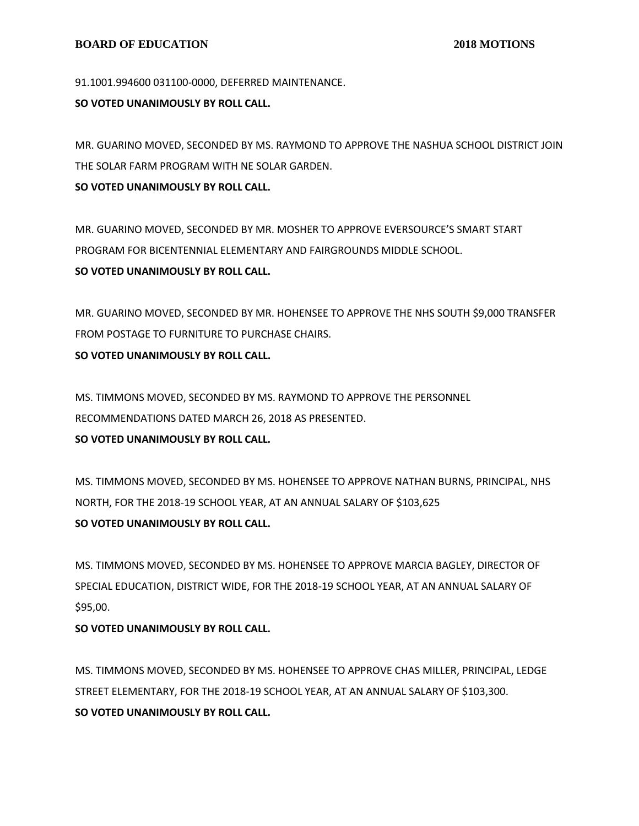91.1001.994600 031100-0000, DEFERRED MAINTENANCE.

#### **SO VOTED UNANIMOUSLY BY ROLL CALL.**

MR. GUARINO MOVED, SECONDED BY MS. RAYMOND TO APPROVE THE NASHUA SCHOOL DISTRICT JOIN THE SOLAR FARM PROGRAM WITH NE SOLAR GARDEN.

**SO VOTED UNANIMOUSLY BY ROLL CALL.**

MR. GUARINO MOVED, SECONDED BY MR. MOSHER TO APPROVE EVERSOURCE'S SMART START PROGRAM FOR BICENTENNIAL ELEMENTARY AND FAIRGROUNDS MIDDLE SCHOOL. **SO VOTED UNANIMOUSLY BY ROLL CALL.**

MR. GUARINO MOVED, SECONDED BY MR. HOHENSEE TO APPROVE THE NHS SOUTH \$9,000 TRANSFER FROM POSTAGE TO FURNITURE TO PURCHASE CHAIRS.

## **SO VOTED UNANIMOUSLY BY ROLL CALL.**

MS. TIMMONS MOVED, SECONDED BY MS. RAYMOND TO APPROVE THE PERSONNEL RECOMMENDATIONS DATED MARCH 26, 2018 AS PRESENTED.

**SO VOTED UNANIMOUSLY BY ROLL CALL.**

MS. TIMMONS MOVED, SECONDED BY MS. HOHENSEE TO APPROVE NATHAN BURNS, PRINCIPAL, NHS NORTH, FOR THE 2018-19 SCHOOL YEAR, AT AN ANNUAL SALARY OF \$103,625 **SO VOTED UNANIMOUSLY BY ROLL CALL.**

MS. TIMMONS MOVED, SECONDED BY MS. HOHENSEE TO APPROVE MARCIA BAGLEY, DIRECTOR OF SPECIAL EDUCATION, DISTRICT WIDE, FOR THE 2018-19 SCHOOL YEAR, AT AN ANNUAL SALARY OF \$95,00.

## **SO VOTED UNANIMOUSLY BY ROLL CALL.**

MS. TIMMONS MOVED, SECONDED BY MS. HOHENSEE TO APPROVE CHAS MILLER, PRINCIPAL, LEDGE STREET ELEMENTARY, FOR THE 2018-19 SCHOOL YEAR, AT AN ANNUAL SALARY OF \$103,300. **SO VOTED UNANIMOUSLY BY ROLL CALL.**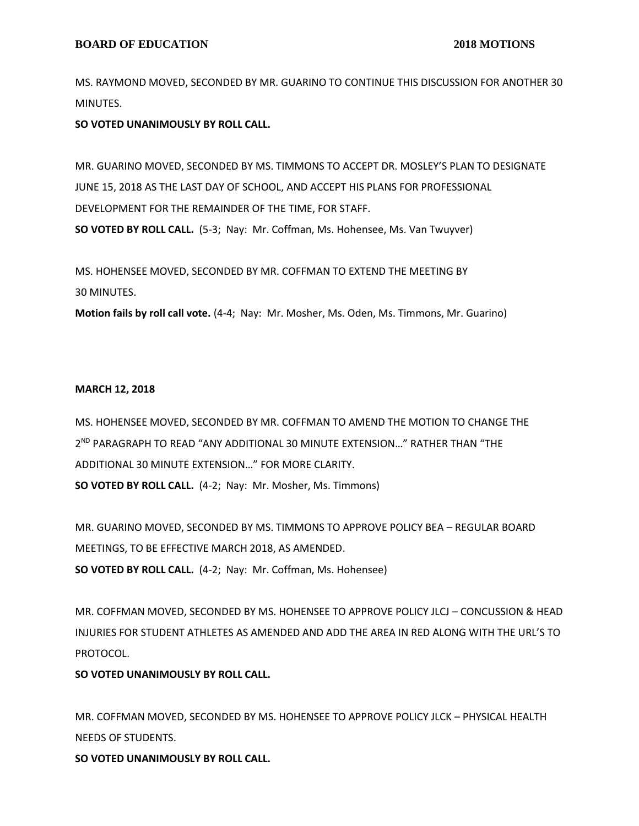MS. RAYMOND MOVED, SECONDED BY MR. GUARINO TO CONTINUE THIS DISCUSSION FOR ANOTHER 30 MINUTES.

**SO VOTED UNANIMOUSLY BY ROLL CALL.**

MR. GUARINO MOVED, SECONDED BY MS. TIMMONS TO ACCEPT DR. MOSLEY'S PLAN TO DESIGNATE JUNE 15, 2018 AS THE LAST DAY OF SCHOOL, AND ACCEPT HIS PLANS FOR PROFESSIONAL DEVELOPMENT FOR THE REMAINDER OF THE TIME, FOR STAFF. **SO VOTED BY ROLL CALL.** (5-3; Nay: Mr. Coffman, Ms. Hohensee, Ms. Van Twuyver)

MS. HOHENSEE MOVED, SECONDED BY MR. COFFMAN TO EXTEND THE MEETING BY 30 MINUTES.

**Motion fails by roll call vote.** (4-4; Nay: Mr. Mosher, Ms. Oden, Ms. Timmons, Mr. Guarino)

#### **MARCH 12, 2018**

MS. HOHENSEE MOVED, SECONDED BY MR. COFFMAN TO AMEND THE MOTION TO CHANGE THE 2 ND PARAGRAPH TO READ "ANY ADDITIONAL 30 MINUTE EXTENSION…" RATHER THAN "THE ADDITIONAL 30 MINUTE EXTENSION…" FOR MORE CLARITY. **SO VOTED BY ROLL CALL.** (4-2; Nay: Mr. Mosher, Ms. Timmons)

MR. GUARINO MOVED, SECONDED BY MS. TIMMONS TO APPROVE POLICY BEA – REGULAR BOARD MEETINGS, TO BE EFFECTIVE MARCH 2018, AS AMENDED. **SO VOTED BY ROLL CALL.** (4-2; Nay: Mr. Coffman, Ms. Hohensee)

MR. COFFMAN MOVED, SECONDED BY MS. HOHENSEE TO APPROVE POLICY JLCJ – CONCUSSION & HEAD INJURIES FOR STUDENT ATHLETES AS AMENDED AND ADD THE AREA IN RED ALONG WITH THE URL'S TO PROTOCOL.

**SO VOTED UNANIMOUSLY BY ROLL CALL.**

MR. COFFMAN MOVED, SECONDED BY MS. HOHENSEE TO APPROVE POLICY JLCK – PHYSICAL HEALTH NEEDS OF STUDENTS.

**SO VOTED UNANIMOUSLY BY ROLL CALL.**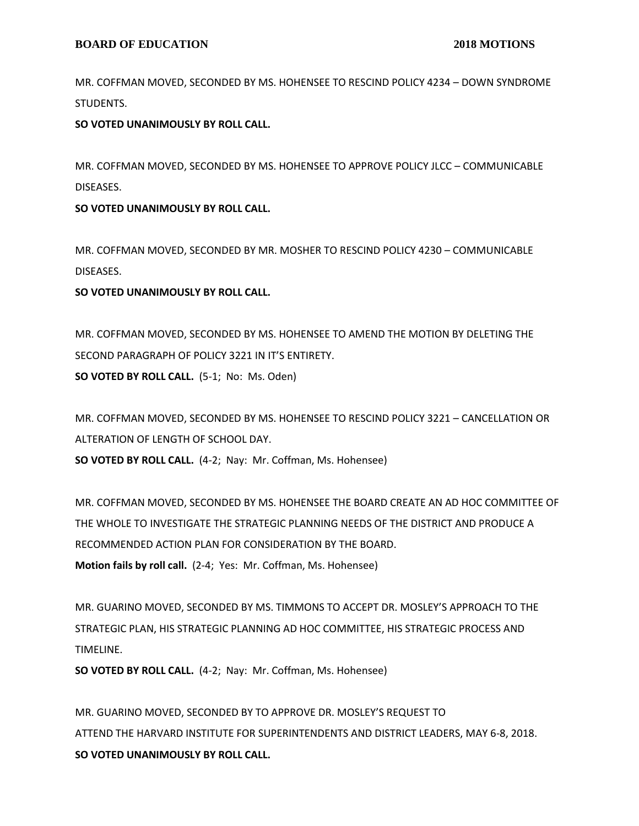MR. COFFMAN MOVED, SECONDED BY MS. HOHENSEE TO RESCIND POLICY 4234 – DOWN SYNDROME STUDENTS.

**SO VOTED UNANIMOUSLY BY ROLL CALL.**

MR. COFFMAN MOVED, SECONDED BY MS. HOHENSEE TO APPROVE POLICY JLCC – COMMUNICABLE DISEASES.

**SO VOTED UNANIMOUSLY BY ROLL CALL.**

MR. COFFMAN MOVED, SECONDED BY MR. MOSHER TO RESCIND POLICY 4230 – COMMUNICABLE DISEASES.

**SO VOTED UNANIMOUSLY BY ROLL CALL.**

MR. COFFMAN MOVED, SECONDED BY MS. HOHENSEE TO AMEND THE MOTION BY DELETING THE SECOND PARAGRAPH OF POLICY 3221 IN IT'S ENTIRETY. **SO VOTED BY ROLL CALL.** (5-1; No: Ms. Oden)

MR. COFFMAN MOVED, SECONDED BY MS. HOHENSEE TO RESCIND POLICY 3221 – CANCELLATION OR ALTERATION OF LENGTH OF SCHOOL DAY.

**SO VOTED BY ROLL CALL.** (4-2; Nay: Mr. Coffman, Ms. Hohensee)

MR. COFFMAN MOVED, SECONDED BY MS. HOHENSEE THE BOARD CREATE AN AD HOC COMMITTEE OF THE WHOLE TO INVESTIGATE THE STRATEGIC PLANNING NEEDS OF THE DISTRICT AND PRODUCE A RECOMMENDED ACTION PLAN FOR CONSIDERATION BY THE BOARD. **Motion fails by roll call.** (2-4; Yes: Mr. Coffman, Ms. Hohensee)

MR. GUARINO MOVED, SECONDED BY MS. TIMMONS TO ACCEPT DR. MOSLEY'S APPROACH TO THE STRATEGIC PLAN, HIS STRATEGIC PLANNING AD HOC COMMITTEE, HIS STRATEGIC PROCESS AND TIMELINE.

**SO VOTED BY ROLL CALL.** (4-2; Nay: Mr. Coffman, Ms. Hohensee)

MR. GUARINO MOVED, SECONDED BY TO APPROVE DR. MOSLEY'S REQUEST TO ATTEND THE HARVARD INSTITUTE FOR SUPERINTENDENTS AND DISTRICT LEADERS, MAY 6-8, 2018. **SO VOTED UNANIMOUSLY BY ROLL CALL.**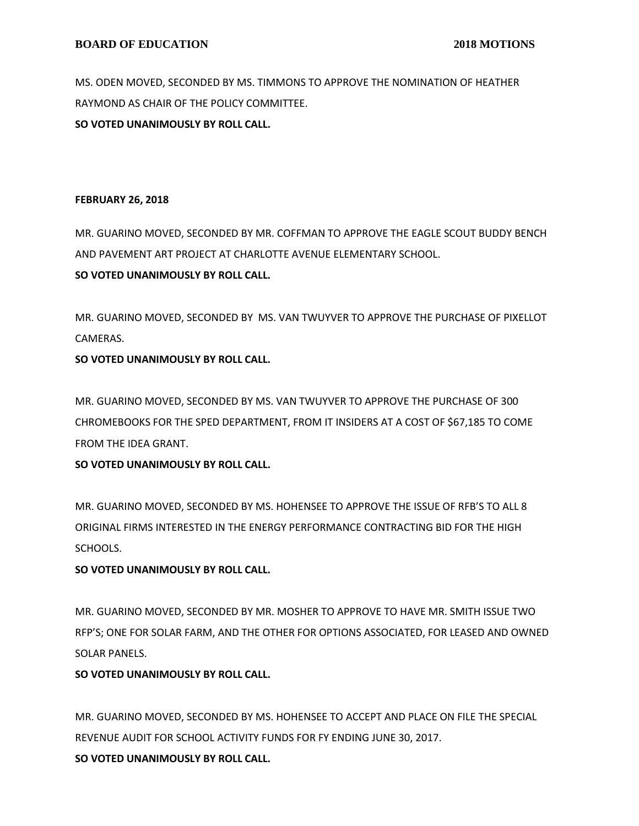MS. ODEN MOVED, SECONDED BY MS. TIMMONS TO APPROVE THE NOMINATION OF HEATHER RAYMOND AS CHAIR OF THE POLICY COMMITTEE.

**SO VOTED UNANIMOUSLY BY ROLL CALL.**

## **FEBRUARY 26, 2018**

MR. GUARINO MOVED, SECONDED BY MR. COFFMAN TO APPROVE THE EAGLE SCOUT BUDDY BENCH AND PAVEMENT ART PROJECT AT CHARLOTTE AVENUE ELEMENTARY SCHOOL. **SO VOTED UNANIMOUSLY BY ROLL CALL.**

MR. GUARINO MOVED, SECONDED BY MS. VAN TWUYVER TO APPROVE THE PURCHASE OF PIXELLOT CAMERAS.

# **SO VOTED UNANIMOUSLY BY ROLL CALL.**

MR. GUARINO MOVED, SECONDED BY MS. VAN TWUYVER TO APPROVE THE PURCHASE OF 300 CHROMEBOOKS FOR THE SPED DEPARTMENT, FROM IT INSIDERS AT A COST OF \$67,185 TO COME FROM THE IDEA GRANT.

# **SO VOTED UNANIMOUSLY BY ROLL CALL.**

MR. GUARINO MOVED, SECONDED BY MS. HOHENSEE TO APPROVE THE ISSUE OF RFB'S TO ALL 8 ORIGINAL FIRMS INTERESTED IN THE ENERGY PERFORMANCE CONTRACTING BID FOR THE HIGH SCHOOLS.

# **SO VOTED UNANIMOUSLY BY ROLL CALL.**

MR. GUARINO MOVED, SECONDED BY MR. MOSHER TO APPROVE TO HAVE MR. SMITH ISSUE TWO RFP'S; ONE FOR SOLAR FARM, AND THE OTHER FOR OPTIONS ASSOCIATED, FOR LEASED AND OWNED SOLAR PANELS.

# **SO VOTED UNANIMOUSLY BY ROLL CALL.**

MR. GUARINO MOVED, SECONDED BY MS. HOHENSEE TO ACCEPT AND PLACE ON FILE THE SPECIAL REVENUE AUDIT FOR SCHOOL ACTIVITY FUNDS FOR FY ENDING JUNE 30, 2017. **SO VOTED UNANIMOUSLY BY ROLL CALL.**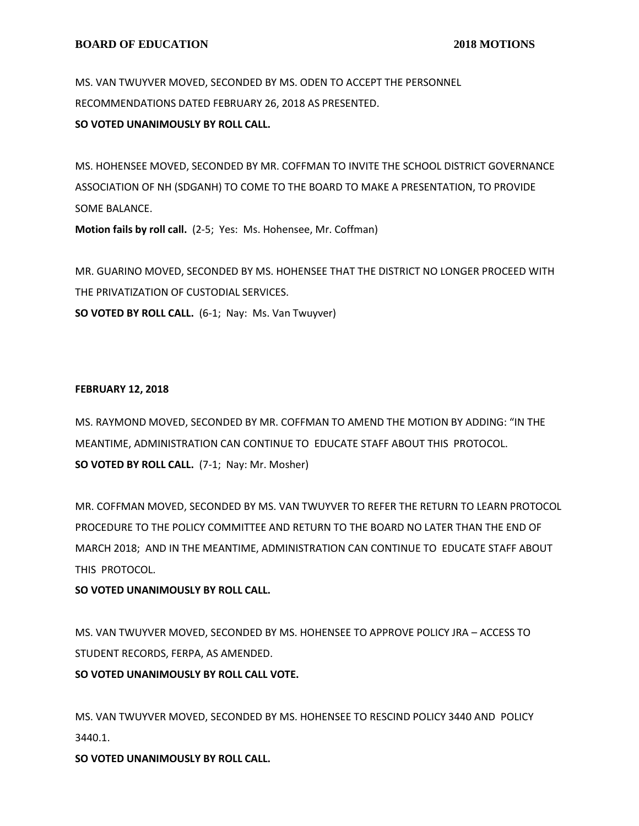MS. VAN TWUYVER MOVED, SECONDED BY MS. ODEN TO ACCEPT THE PERSONNEL RECOMMENDATIONS DATED FEBRUARY 26, 2018 AS PRESENTED.

## **SO VOTED UNANIMOUSLY BY ROLL CALL.**

MS. HOHENSEE MOVED, SECONDED BY MR. COFFMAN TO INVITE THE SCHOOL DISTRICT GOVERNANCE ASSOCIATION OF NH (SDGANH) TO COME TO THE BOARD TO MAKE A PRESENTATION, TO PROVIDE SOME BALANCE.

**Motion fails by roll call.** (2-5; Yes: Ms. Hohensee, Mr. Coffman)

MR. GUARINO MOVED, SECONDED BY MS. HOHENSEE THAT THE DISTRICT NO LONGER PROCEED WITH THE PRIVATIZATION OF CUSTODIAL SERVICES. **SO VOTED BY ROLL CALL.** (6-1; Nay: Ms. Van Twuyver)

# **FEBRUARY 12, 2018**

MS. RAYMOND MOVED, SECONDED BY MR. COFFMAN TO AMEND THE MOTION BY ADDING: "IN THE MEANTIME, ADMINISTRATION CAN CONTINUE TO EDUCATE STAFF ABOUT THIS PROTOCOL. **SO VOTED BY ROLL CALL.** (7-1; Nay: Mr. Mosher)

MR. COFFMAN MOVED, SECONDED BY MS. VAN TWUYVER TO REFER THE RETURN TO LEARN PROTOCOL PROCEDURE TO THE POLICY COMMITTEE AND RETURN TO THE BOARD NO LATER THAN THE END OF MARCH 2018; AND IN THE MEANTIME, ADMINISTRATION CAN CONTINUE TO EDUCATE STAFF ABOUT THIS PROTOCOL.

# **SO VOTED UNANIMOUSLY BY ROLL CALL.**

MS. VAN TWUYVER MOVED, SECONDED BY MS. HOHENSEE TO APPROVE POLICY JRA – ACCESS TO STUDENT RECORDS, FERPA, AS AMENDED.

**SO VOTED UNANIMOUSLY BY ROLL CALL VOTE.**

MS. VAN TWUYVER MOVED, SECONDED BY MS. HOHENSEE TO RESCIND POLICY 3440 AND POLICY 3440.1.

**SO VOTED UNANIMOUSLY BY ROLL CALL.**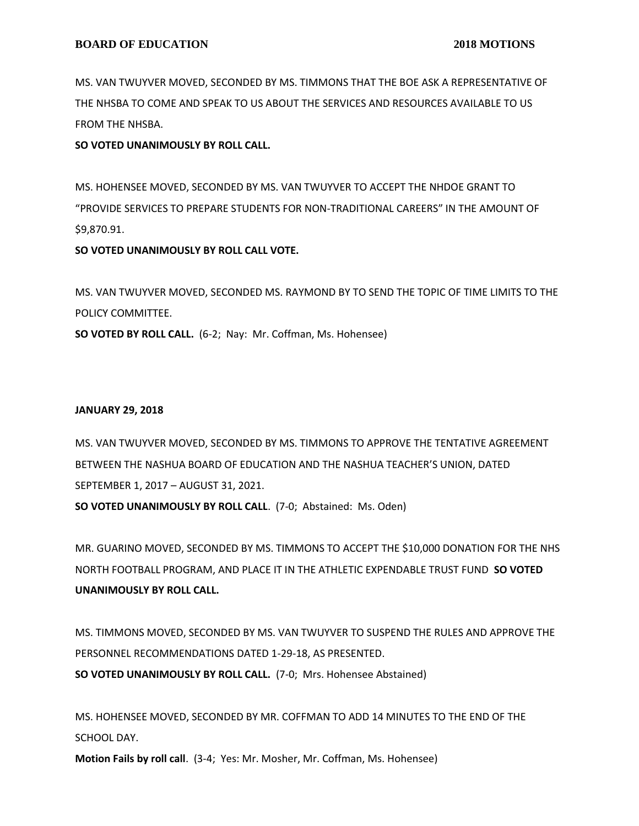MS. VAN TWUYVER MOVED, SECONDED BY MS. TIMMONS THAT THE BOE ASK A REPRESENTATIVE OF THE NHSBA TO COME AND SPEAK TO US ABOUT THE SERVICES AND RESOURCES AVAILABLE TO US FROM THE NHSBA.

#### **SO VOTED UNANIMOUSLY BY ROLL CALL.**

MS. HOHENSEE MOVED, SECONDED BY MS. VAN TWUYVER TO ACCEPT THE NHDOE GRANT TO "PROVIDE SERVICES TO PREPARE STUDENTS FOR NON-TRADITIONAL CAREERS" IN THE AMOUNT OF \$9,870.91.

#### **SO VOTED UNANIMOUSLY BY ROLL CALL VOTE.**

MS. VAN TWUYVER MOVED, SECONDED MS. RAYMOND BY TO SEND THE TOPIC OF TIME LIMITS TO THE POLICY COMMITTEE.

**SO VOTED BY ROLL CALL.** (6-2; Nay: Mr. Coffman, Ms. Hohensee)

#### **JANUARY 29, 2018**

MS. VAN TWUYVER MOVED, SECONDED BY MS. TIMMONS TO APPROVE THE TENTATIVE AGREEMENT BETWEEN THE NASHUA BOARD OF EDUCATION AND THE NASHUA TEACHER'S UNION, DATED SEPTEMBER 1, 2017 – AUGUST 31, 2021. **SO VOTED UNANIMOUSLY BY ROLL CALL**. (7-0; Abstained: Ms. Oden)

MR. GUARINO MOVED, SECONDED BY MS. TIMMONS TO ACCEPT THE \$10,000 DONATION FOR THE NHS NORTH FOOTBALL PROGRAM, AND PLACE IT IN THE ATHLETIC EXPENDABLE TRUST FUND **SO VOTED UNANIMOUSLY BY ROLL CALL.**

MS. TIMMONS MOVED, SECONDED BY MS. VAN TWUYVER TO SUSPEND THE RULES AND APPROVE THE PERSONNEL RECOMMENDATIONS DATED 1-29-18, AS PRESENTED. **SO VOTED UNANIMOUSLY BY ROLL CALL.** (7-0; Mrs. Hohensee Abstained)

MS. HOHENSEE MOVED, SECONDED BY MR. COFFMAN TO ADD 14 MINUTES TO THE END OF THE SCHOOL DAY.

**Motion Fails by roll call**. (3-4; Yes: Mr. Mosher, Mr. Coffman, Ms. Hohensee)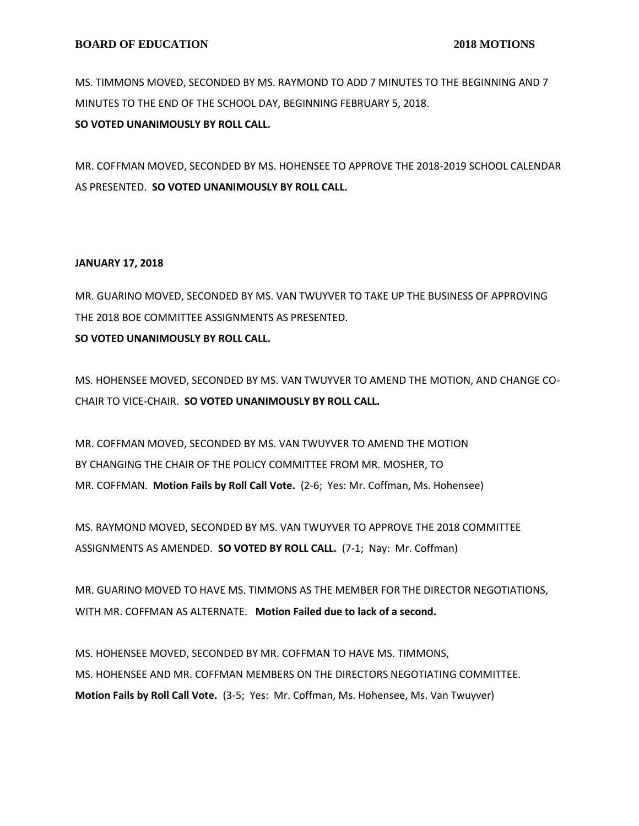MS. TIMMONS MOVED, SECONDED BY MS. RAYMOND TO ADD 7 MINUTES TO THE BEGINNING AND 7 MINUTES TO THE END OF THE SCHOOL DAY, BEGINNING FEBRUARY 5, 2018.

**SO VOTED UNANIMOUSLY BY ROLL CALL.**

MR. COFFMAN MOVED, SECONDED BY MS. HOHENSEE TO APPROVE THE 2018-2019 SCHOOL CALENDAR AS PRESENTED. **SO VOTED UNANIMOUSLY BY ROLL CALL.**

#### **JANUARY 17, 2018**

MR. GUARINO MOVED, SECONDED BY MS. VAN TWUYVER TO TAKE UP THE BUSINESS OF APPROVING THE 2018 BOE COMMITTEE ASSIGNMENTS AS PRESENTED.

**SO VOTED UNANIMOUSLY BY ROLL CALL.**

MS. HOHENSEE MOVED, SECONDED BY MS. VAN TWUYVER TO AMEND THE MOTION, AND CHANGE CO-CHAIR TO VICE-CHAIR. **SO VOTED UNANIMOUSLY BY ROLL CALL.**

MR. COFFMAN MOVED, SECONDED BY MS. VAN TWUYVER TO AMEND THE MOTION BY CHANGING THE CHAIR OF THE POLICY COMMITTEE FROM MR. MOSHER, TO MR. COFFMAN. **Motion Fails by Roll Call Vote.** (2-6; Yes: Mr. Coffman, Ms. Hohensee)

MS. RAYMOND MOVED, SECONDED BY MS. VAN TWUYVER TO APPROVE THE 2018 COMMITTEE ASSIGNMENTS AS AMENDED. **SO VOTED BY ROLL CALL.** (7-1; Nay: Mr. Coffman)

MR. GUARINO MOVED TO HAVE MS. TIMMONS AS THE MEMBER FOR THE DIRECTOR NEGOTIATIONS, WITH MR. COFFMAN AS ALTERNATE. **Motion Failed due to lack of a second.**

MS. HOHENSEE MOVED, SECONDED BY MR. COFFMAN TO HAVE MS. TIMMONS, MS. HOHENSEE AND MR. COFFMAN MEMBERS ON THE DIRECTORS NEGOTIATING COMMITTEE. **Motion Fails by Roll Call Vote.** (3-5; Yes: Mr. Coffman, Ms. Hohensee, Ms. Van Twuyver)